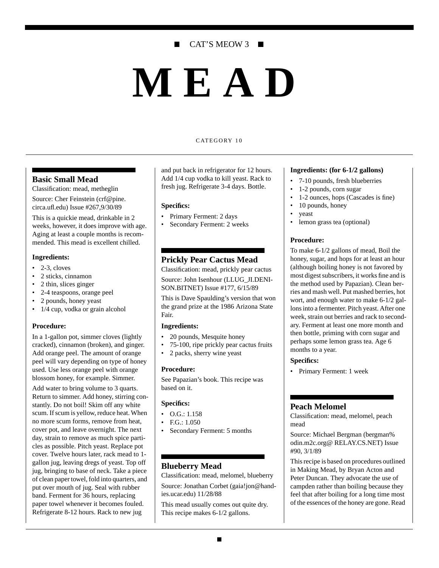# CAT'S MEOW 3 ■

# **MEAD**

#### CATEGORY 10

#### **Basic Small Mead**

Classification: mead, metheglin

Source: Cher Feinstein (crf@pine.

circa.ufl.edu) Issue #267,9/30/89 This is a quickie mead, drinkable in 2 weeks, however, it does improve with age. Aging at least a couple months is recommended. This mead is excellent chilled.

#### **Ingredients:**

- $\bullet$  2-3, cloves
- 2 sticks, cinnamon
- 2 thin, slices ginger
- 2-4 teaspoons, orange peel
- 2 pounds, honey yeast
- 1/4 cup, vodka or grain alcohol

#### **Procedure:**

In a 1-gallon pot, simmer cloves (lightly cracked), cinnamon (broken), and ginger. Add orange peel. The amount of orange peel will vary depending on type of honey used. Use less orange peel with orange blossom honey, for example. Simmer.

Add water to bring volume to 3 quarts. Return to simmer. Add honey, stirring constantly. Do not boil! Skim off any white scum. If scum is yellow, reduce heat. When no more scum forms, remove from heat, cover pot, and leave overnight. The next day, strain to remove as much spice particles as possible. Pitch yeast. Replace pot cover. Twelve hours later, rack mead to 1 gallon jug, leaving dregs of yeast. Top off jug, bringing to base of neck. Take a piece of clean paper towel, fold into quarters, and put over mouth of jug. Seal with rubber band. Ferment for 36 hours, replacing paper towel whenever it becomes fouled. Refrigerate 8-12 hours. Rack to new jug

and put back in refrigerator for 12 hours. Add 1/4 cup vodka to kill yeast. Rack to fresh jug. Refrigerate 3-4 days. Bottle.

#### **Specifics:**

- Primary Ferment: 2 days
- Secondary Ferment: 2 weeks

# **Prickly Pear Cactus Mead**

Classification: mead, prickly pear cactus Source: John Isenhour (LLUG\_JI.DENI-SON.BITNET) Issue #177, 6/15/89

This is Dave Spaulding's version that won the grand prize at the 1986 Arizona State Fair.

#### **Ingredients:**

- 20 pounds, Mesquite honey
- 75-100, ripe prickly pear cactus fruits
- 2 packs, sherry wine yeast

#### **Procedure:**

See Papazian's book. This recipe was based on it.

#### **Specifics:**

- O.G.: 1.158
- F.G.: 1.050
- Secondary Ferment: 5 months

## **Blueberry Mead**

Classification: mead, melomel, blueberry Source: Jonathan Corbet (gaia!jon@hand-

ies.ucar.edu) 11/28/88

This mead usually comes out quite dry. This recipe makes 6-1/2 gallons.

#### **Ingredients: (for 6-1/2 gallons)**

- 7-10 pounds, fresh blueberries
- 1-2 pounds, corn sugar
- 1-2 ounces, hops (Cascades is fine)
- 10 pounds, honey
- yeast
- lemon grass tea (optional)

#### **Procedure:**

To make 6-1/2 gallons of mead, Boil the honey, sugar, and hops for at least an hour (although boiling honey is not favored by most digest subscribers, it works fine and is the method used by Papazian). Clean berries and mash well. Put mashed berries, hot wort, and enough water to make 6-1/2 gallons into a fermenter. Pitch yeast. After one week, strain out berries and rack to secondary. Ferment at least one more month and then bottle, priming with corn sugar and perhaps some lemon grass tea. Age 6 months to a year.

#### **Specifics:**

• Primary Ferment: 1 week

#### **Peach Melomel**

Classification: mead, melomel, peach mead

Source: Michael Bergman (bergman% odin.m2c.org@ RELAY.CS.NET) Issue #90, 3/1/89

This recipe is based on procedures outlined in Making Mead, by Bryan Acton and Peter Duncan. They advocate the use of campden rather than boiling because they feel that after boiling for a long time most of the essences of the honey are gone. Read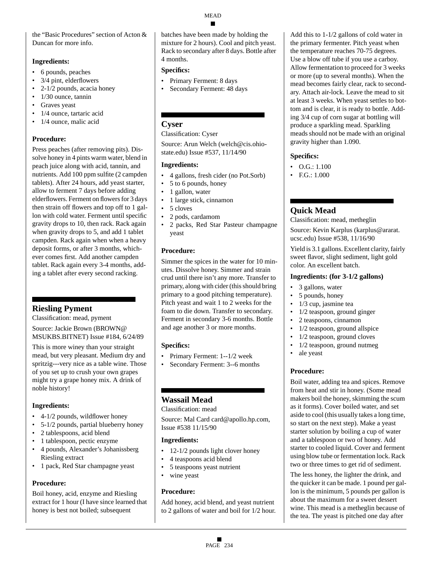the "Basic Procedures" section of Acton & Duncan for more info.

#### **Ingredients:**

- 6 pounds, peaches
- 3/4 pint, elderflowers
- 2-1/2 pounds, acacia honey
- 1/30 ounce, tannin
- Graves yeast
- 1/4 ounce, tartaric acid
- 1/4 ounce, malic acid

## **Procedure:**

Press peaches (after removing pits). Dissolve honey in 4 pints warm water, blend in peach juice along with acid, tannin, and nutrients. Add 100 ppm sulfite (2 campden tablets). After 24 hours, add yeast starter, allow to ferment 7 days before adding elderflowers. Ferment on flowers for 3 days then strain off flowers and top off to 1 gallon with cold water. Ferment until specific gravity drops to 10, then rack. Rack again when gravity drops to 5, and add 1 tablet campden. Rack again when when a heavy deposit forms, or after 3 months, whichever comes first. Add another campden tablet. Rack again every 3-4 months, adding a tablet after every second racking.

# **Riesling Pyment**

Classification: mead, pyment

Source: Jackie Brown (BROWN@ MSUKBS.BITNET) Issue #184, 6/24/89

This is more winey than your straight mead, but very pleasant. Medium dry and spritzig---very nice as a table wine. Those of you set up to crush your own grapes might try a grape honey mix. A drink of noble history!

## **Ingredients:**

- 4-1/2 pounds, wildflower honey
- 5-1/2 pounds, partial blueberry honey
- 2 tablespoons, acid blend
- 1 tablespoon, pectic enzyme
- 4 pounds, Alexander's Johanissberg Riesling extract
- 1 pack, Red Star champagne yeast

#### **Procedure:**

Boil honey, acid, enzyme and Riesling extract for 1 hour (I have since learned that honey is best not boiled; subsequent

batches have been made by holding the mixture for 2 hours). Cool and pitch yeast. Rack to secondary after 8 days. Bottle after 4 months.

#### **Specifics:**

- Primary Ferment: 8 days
- Secondary Ferment: 48 days

# **Cyser**

Classification: Cyser

Source: Arun Welch (welch@cis.ohiostate.edu) Issue #537, 11/14/90

#### **Ingredients:**

- 4 gallons, fresh cider (no Pot.Sorb)
- 5 to 6 pounds, honey
- 1 gallon, water
- 1 large stick, cinnamon
- 5 cloves
- 2 pods, cardamom
- 2 packs, Red Star Pasteur champagne yeast

## **Procedure:**

Simmer the spices in the water for 10 minutes. Dissolve honey. Simmer and strain crud until there isn't any more. Transfer to primary, along with cider (this should bring primary to a good pitching temperature). Pitch yeast and wait 1 to 2 weeks for the foam to die down. Transfer to secondary. Ferment in secondary 3-6 months. Bottle and age another 3 or more months.

## **Specifics:**

- Primary Ferment: 1--1/2 week
- Secondary Ferment: 3--6 months

# **Wassail Mead**

#### Classification: mead

Source: Mal Card card@apollo.hp.com, Issue #538 11/15/90

#### **Ingredients:**

- 12-1/2 pounds light clover honey
- 4 teaspoons acid blend
- 5 teaspoons yeast nutrient
- wine yeast

#### **Procedure:**

Add honey, acid blend, and yeast nutrient to 2 gallons of water and boil for 1/2 hour.

Add this to 1-1/2 gallons of cold water in the primary fermenter. Pitch yeast when the temperature reaches 70-75 degrees. Use a blow off tube if you use a carboy. Allow fermentation to proceed for 3 weeks or more (up to several months). When the mead becomes fairly clear, rack to secondary. Attach air-lock. Leave the mead to sit at least 3 weeks. When yeast settles to bottom and is clear, it is ready to bottle. Adding 3/4 cup of corn sugar at bottling will produce a sparkling mead. Sparkling meads should not be made with an original gravity higher than 1.090.

## **Specifics:**

- $\bullet$  O.G.: 1.100
- F.G.: 1.000

# **Quick Mead**

Classification: mead, metheglin

Source: Kevin Karplus (karplus@ararat. ucsc.edu) Issue #538, 11/16/90

Yield is 3.1 gallons. Excellent clarity, fairly sweet flavor, slight sediment, light gold color. An excellent batch.

#### **Ingredients: (for 3-1/2 gallons)**

- 3 gallons, water
- 5 pounds, honey
- 1/3 cup, jasmine tea
- 1/2 teaspoon, ground ginger
- 2 teaspoons, cinnamon
- 1/2 teaspoon, ground allspice
- 1/2 teaspoon, ground cloves
- 1/2 teaspoon, ground nutmeg
- ale yeast

## **Procedure:**

Boil water, adding tea and spices. Remove from heat and stir in honey. (Some mead makers boil the honey, skimming the scum as it forms). Cover boiled water, and set aside to cool (this usually takes a long time, so start on the next step). Make a yeast starter solution by boiling a cup of water and a tablespoon or two of honey. Add starter to cooled liquid. Cover and ferment using blow tube or fermentation lock. Rack two or three times to get rid of sediment.

The less honey, the lighter the drink, and the quicker it can be made. 1 pound per gallon is the minimum, 5 pounds per gallon is about the maximum for a sweet dessert wine. This mead is a metheglin because of the tea. The yeast is pitched one day after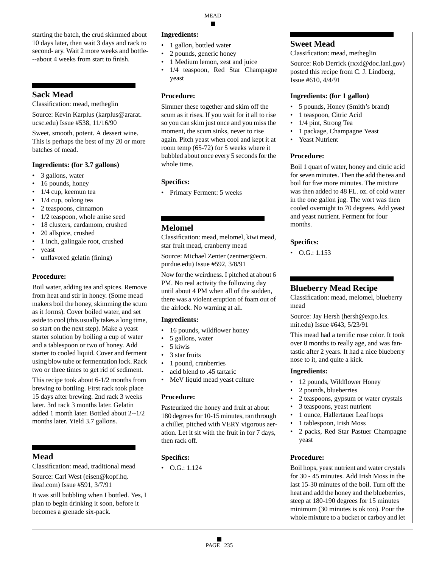starting the batch, the crud skimmed about 10 days later, then wait 3 days and rack to second- ary. Wait 2 more weeks and bottle- --about 4 weeks from start to finish.

# **Sack Mead**

Classification: mead, metheglin

Source: Kevin Karplus (karplus@ararat. ucsc.edu) Issue #538, 11/16/90

Sweet, smooth, potent. A dessert wine. This is perhaps the best of my 20 or more batches of mead.

#### **Ingredients: (for 3.7 gallons)**

- 3 gallons, water
- 16 pounds, honey
- 1/4 cup, keemun tea
- 1/4 cup, oolong tea
- 2 teaspoons, cinnamon
- 1/2 teaspoon, whole anise seed
- 18 clusters, cardamom, crushed
- 20 allspice, crushed
- 1 inch, galingale root, crushed
- yeast
- unflavored gelatin (fining)

#### **Procedure:**

Boil water, adding tea and spices. Remove from heat and stir in honey. (Some mead makers boil the honey, skimming the scum as it forms). Cover boiled water, and set aside to cool (this usually takes a long time, so start on the next step). Make a yeast starter solution by boiling a cup of water and a tablespoon or two of honey. Add starter to cooled liquid. Cover and ferment using blow tube or fermentation lock. Rack two or three times to get rid of sediment.

This recipe took about 6-1/2 months from brewing to bottling. First rack took place 15 days after brewing. 2nd rack 3 weeks later. 3rd rack 3 months later. Gelatin added 1 month later. Bottled about 2--1/2 months later. Yield 3.7 gallons.

# **Mead**

Classification: mead, traditional mead Source: Carl West (eisen@kopf.hq. ileaf.com) Issue #591, 3/7/91

It was still bubbling when I bottled. Yes, I plan to begin drinking it soon, before it becomes a grenade six-pack.

#### **Ingredients:**

- 1 gallon, bottled water
- 2 pounds, generic honey
- 1 Medium lemon, zest and juice
- 1/4 teaspoon, Red Star Champagne yeast

#### **Procedure:**

Simmer these together and skim off the scum as it rises. If you wait for it all to rise so you can skim just once and you miss the moment, the scum sinks, never to rise again. Pitch yeast when cool and kept it at room temp (65-72) for 5 weeks where it bubbled about once every 5 seconds for the whole time.

## **Specifics:**

• Primary Ferment: 5 weeks

# **Melomel**

Classification: mead, melomel, kiwi mead, star fruit mead, cranberry mead

Source: Michael Zenter (zentner@ecn. purdue.edu) Issue #592, 3/8/91

Now for the weirdness. I pitched at about 6 PM. No real activity the following day until about 4 PM when all of the sudden, there was a violent eruption of foam out of the airlock. No warning at all.

#### **Ingredients:**

- 16 pounds, wildflower honey
- 5 gallons, water
- 5 kiwis
- 3 star fruits
- 1 pound, cranberries
- acid blend to .45 tartaric
- MeV liquid mead yeast culture

#### **Procedure:**

Pasteurized the honey and fruit at about 180 degrees for 10-15 minutes, ran through a chiller, pitched with VERY vigorous aeration. Let it sit with the fruit in for 7 days, then rack off.

## **Specifics:**

• O.G.: 1.124

# **Sweet Mead**

Classification: mead, metheglin

Source: Rob Derrick (rxxd@doc.lanl.gov) posted this recipe from C. J. Lindberg, Issue #610, 4/4/91

#### **Ingredients: (for 1 gallon)**

- 5 pounds, Honey (Smith's brand)
- 1 teaspoon, Citric Acid
- 1/4 pint, Strong Tea
- 1 package, Champagne Yeast
- Yeast Nutrient

# **Procedure:**

Boil 1 quart of water, honey and citric acid for seven minutes. Then the add the tea and boil for five more minutes. The mixture was then added to 48 FL. oz. of cold water in the one gallon jug. The wort was then cooled overnight to 70 degrees. Add yeast and yeast nutrient. Ferment for four months.

#### **Specifics:**

 $\bullet$  O.G.: 1.153

# **Blueberry Mead Recipe**

Classification: mead, melomel, blueberry mead

Source: Jay Hersh (hersh@expo.lcs. mit.edu) Issue #643, 5/23/91

This mead had a terrific rose color. It took over 8 months to really age, and was fantastic after 2 years. It had a nice blueberry nose to it, and quite a kick.

#### **Ingredients:**

- 12 pounds, Wildflower Honey
- 2 pounds, blueberries
- 2 teaspoons, gypsum or water crystals
- 3 teaspoons, yeast nutrient
- 1 ounce, Hallertauer Leaf hops
- 1 tablespoon, Irish Moss
- 2 packs, Red Star Pastuer Champagne yeast

## **Procedure:**

Boil hops, yeast nutrient and water crystals for 30 - 45 minutes. Add Irish Moss in the last 15-30 minutes of the boil. Turn off the heat and add the honey and the blueberries, steep at 180-190 degrees for 15 minutes minimum (30 minutes is ok too). Pour the whole mixture to a bucket or carboy and let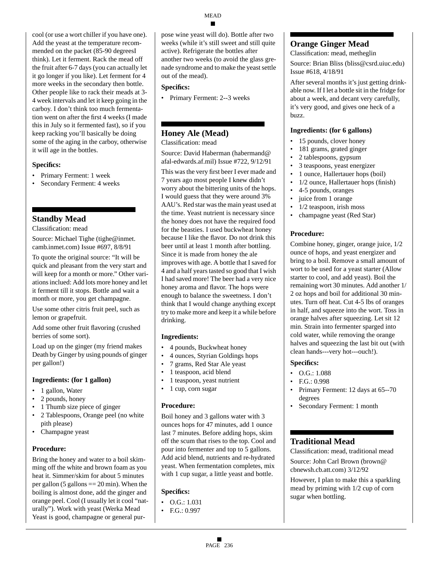cool (or use a wort chiller if you have one). Add the yeast at the temperature recommended on the packet (85-90 degreesI think). Let it ferment. Rack the mead off the fruit after 6-7 days (you can actually let it go longer if you like). Let ferment for 4 more weeks in the secondary then bottle. Other people like to rack their meads at 3- 4 week intervals and let it keep going in the carboy. I don't think too much fermentation went on after the first 4 weeks (I made this in July so it fermented fast), so if you keep racking you'll basically be doing some of the aging in the carboy, otherwise it will age in the bottles.

#### **Specifics:**

- Primary Ferment: 1 week
- Secondary Ferment: 4 weeks

# **Standby Mead**

Classification: mead

Source: Michael Tighe (tighe@inmet. camb.inmet.com) Issue #697, 8/8/91

To quote the original source: "It will be quick and pleasant from the very start and will keep for a month or more." Other variations inclued: Add lots more honey and let it ferment till it stops. Bottle and wait a month or more, you get champagne.

Use some other citris fruit peel, such as lemon or grapefruit.

Add some other fruit flavoring (crushed berries of some sort).

Load up on the ginger (my friend makes Death by Ginger by using pounds of ginger per gallon!)

#### **Ingredients: (for 1 gallon)**

- 1 gallon, Water
- 2 pounds, honey
- 1 Thumb size piece of ginger
- 2 Tablespoons, Orange peel (no white pith please)
- Champagne yeast

#### **Procedure:**

Bring the honey and water to a boil skimming off the white and brown foam as you heat it. Simmer/skim for about 5 minutes per gallon  $(5 \text{ gallons} == 20 \text{ min})$ . When the boiling is almost done, add the ginger and orange peel. Cool (I usually let it cool "naturally"). Work with yeast (Werka Mead Yeast is good, champagne or general purpose wine yeast will do). Bottle after two weeks (while it's still sweet and still quite active). Refrigerate the bottles after another two weeks (to avoid the glass grenade syndrome and to make the yeast settle out of the mead).

#### **Specifics:**

• Primary Ferment: 2--3 weeks

# **Honey Ale (Mead)**

Classification: mead

Source: David Haberman (habermand@ afal-edwards.af.mil) Issue #722, 9/12/91

This was the very first beer I ever made and 7 years ago most people I knew didn't worry about the bittering units of the hops. I would guess that they were around 3% AAU's. Red star was the main yeast used at the time. Yeast nutrient is necessary since the honey does not have the required food for the beasties. I used buckwheat honey because I like the flavor. Do not drink this beer until at least 1 month after bottling. Since it is made from honey the ale improves with age. A bottle that I saved for 4 and a half years tasted so good that I wish I had saved more! The beer had a very nice honey aroma and flavor. The hops were enough to balance the sweetness. I don't think that I would change anything except try to make more and keep it a while before drinking.

#### **Ingredients:**

- 4 pounds, Buckwheat honey
- 4 ounces, Styrian Goldings hops
- 7 grams, Red Star Ale yeast
- 1 teaspoon, acid blend
- 1 teaspoon, yeast nutrient
- 1 cup, corn sugar

#### **Procedure:**

Boil honey and 3 gallons water with 3 ounces hops for 47 minutes, add 1 ounce last 7 minutes. Before adding hops, skim off the scum that rises to the top. Cool and pour into fermenter and top to 5 gallons. Add acid blend, nutrients and re-hydrated yeast. When fermentation completes, mix with 1 cup sugar, a little yeast and bottle.

#### **Specifics:**

- $\bullet$  O.G.: 1.031
- F.G.: 0.997

# **Orange Ginger Mead**

Classification: mead, metheglin

Source: Brian Bliss (bliss@csrd.uiuc.edu) Issue #618, 4/18/91

After several months it's just getting drinkable now. If I let a bottle sit in the fridge for about a week, and decant very carefully, it's very good, and gives one heck of a buzz.

#### **Ingredients: (for 6 gallons)**

- 15 pounds, clover honey
- 181 grams, grated ginger
- 2 tablespoons, gypsum
- 3 teaspoons, yeast energizer
- 1 ounce, Hallertauer hops (boil)
- 1/2 ounce, Hallertauer hops (finish)
- 4-5 pounds, oranges
- juice from 1 orange
- $1/2$  teaspoon, irish moss
- champagne yeast (Red Star)

#### **Procedure:**

Combine honey, ginger, orange juice, 1/2 ounce of hops, and yeast energizer and bring to a boil. Remove a small amount of wort to be used for a yeast starter (Allow starter to cool, and add yeast). Boil the remaining wort 30 minutes. Add another 1/ 2 oz hops and boil for additional 30 minutes. Turn off heat. Cut 4-5 lbs of oranges in half, and squeeze into the wort. Toss in orange halves after squeezing. Let sit 12 min. Strain into fermenter sparged into cold water, while removing the orange halves and squeezing the last bit out (with clean hands---very hot---ouch!).

#### **Specifics:**

- O.G.: 1.088
- F.G.: 0.998
- Primary Ferment: 12 days at 65--70 degrees
- Secondary Ferment: 1 month

## **Traditional Mead**

Classification: mead, traditional mead Source: John Carl Brown (brown@ cbnewsh.cb.att.com) 3/12/92

However, I plan to make this a sparkling mead by priming with 1/2 cup of corn sugar when bottling.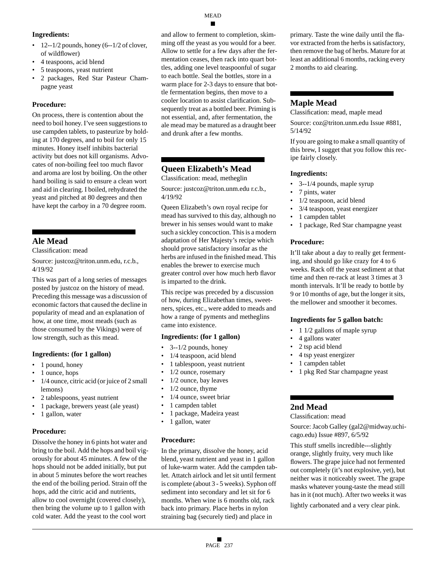## MEAD

#### **Ingredients:**

- $12 1/2$  pounds, honey (6--1/2 of clover, of wildflower)
- 4 teaspoons, acid blend
- 5 teaspoons, yeast nutrient
- 2 packages, Red Star Pasteur Champagne yeast

## **Procedure:**

On process, there is contention about the need to boil honey. I've seen suggestions to use campden tablets, to pasteurize by holding at 170 degrees, and to boil for only 15 minutes. Honey itself inhibits bacterial activity but does not kill organisms. Advocates of non-boiling feel too much flavor and aroma are lost by boiling. On the other hand boiling is said to ensure a clean wort and aid in clearing. I boiled, rehydrated the yeast and pitched at 80 degrees and then have kept the carboy in a 70 degree room.

# **Ale Mead**

Classification: mead

Source: justcoz@triton.unm.edu, r.c.b., 4/19/92

This was part of a long series of messages posted by justcoz on the history of mead. Preceding this message was a discussion of economic factors that caused the decline in popularity of mead and an explanation of how, at one time, most meads (such as those consumed by the Vikings) were of low strength, such as this mead.

#### **Ingredients: (for 1 gallon)**

- 1 pound, honey
- 1 ounce, hops
- 1/4 ounce, citric acid (or juice of 2 small lemons)
- 2 tablespoons, yeast nutrient
- 1 package, brewers yeast (ale yeast)
- 1 gallon, water

## **Procedure:**

Dissolve the honey in 6 pints hot water and bring to the boil. Add the hops and boil vigorously for about 45 minutes. A few of the hops should not be added initially, but put in about 5 minutes before the wort reaches the end of the boiling period. Strain off the hops, add the citric acid and nutrients, allow to cool overnight (covered closely), then bring the volume up to 1 gallon with cold water. Add the yeast to the cool wort

and allow to ferment to completion, skimming off the yeast as you would for a beer. Allow to settle for a few days after the fermentation ceases, then rack into quart bottles, adding one level teaspoonful of sugar to each bottle. Seal the bottles, store in a warm place for 2-3 days to ensure that bottle fermentation begins, then move to a cooler location to assist clarification. Subsequently treat as a bottled beer. Priming is not essential, and, after fermentation, the ale mead may be matured as a draught beer and drunk after a few months.

# **Queen Elizabeth's Mead**

Classification: mead, metheglin

Source: justcoz@triton.unm.edu r.c.b., 4/19/92

Queen Elizabeth's own royal recipe for mead has survived to this day, although no brewer in his senses would want to make such a sickley concoction. This is a modern adaptation of Her Majesty's recipe which should prove satisfactory insofar as the herbs are infused in the finished mead. This enables the brewer to exercise much greater control over how much herb flavor is imparted to the drink.

This recipe was preceded by a discussion of how, during Elizabethan times, sweetners, spices, etc., were added to meads and how a range of pyments and metheglins came into existence.

#### **Ingredients: (for 1 gallon)**

- 3--1/2 pounds, honey
- 1/4 teaspoon, acid blend
- 1 tablespoon, yeast nutrient
- 1/2 ounce, rosemary
- 1/2 ounce, bay leaves
- $1/2$  ounce, thyme
- 1/4 ounce, sweet briar
- 1 campden tablet
- 1 package, Madeira yeast
- 1 gallon, water

#### **Procedure:**

In the primary, dissolve the honey, acid blend, yeast nutrient and yeast in 1 gallon of luke-warm water. Add the campden tablet. Attatch airlock and let sit until ferment is complete (about 3 - 5 weeks). Syphon off sediment into secondary and let sit for 6 months. When wine is 6 months old, rack back into primary. Place herbs in nylon straining bag (securely tied) and place in

primary. Taste the wine daily until the flavor extracted from the herbs is satisfactory, then remove the bag of herbs. Mature for at least an additional 6 months, racking every 2 months to aid clearing.

# **Maple Mead**

Classification: mead, maple mead

Source: coz@triton.unm.edu Issue #881, 5/14/92

If you are going to make a small quantity of this brew, I sugget that you follow this recipe fairly closely.

## **Ingredients:**

- 3--1/4 pounds, maple syrup
- 7 pints, water
- 1/2 teaspoon, acid blend
- 3/4 teaspoon, yeast energizer
- 1 campden tablet
- 1 package, Red Star champagne yeast

## **Procedure:**

It'll take about a day to really get fermenting, and should go like crazy for 4 to 6 weeks. Rack off the yeast sediment at that time and then re-rack at least 3 times at 3 month intervals. It'll be ready to bottle by 9 or 10 months of age, but the longer it sits, the mellower and smoother it becomes.

#### **Ingredients for 5 gallon batch:**

- 1 1/2 gallons of maple syrup
- 4 gallons water
- 2 tsp acid blend
- 4 tsp yeast energizer
- 1 campden tablet
- 1 pkg Red Star champagne yeast

# **2nd Mead**

Classification: mead

Source: Jacob Galley (gal2@midway.uchicago.edu) Issue #897, 6/5/92

This stuff smells incredible---slightly orange, slightly fruity, very much like flowers. The grape juice had not fermented out completely (it's not explosive, yet), but neither was it noticeably sweet. The grape masks whatever young-taste the mead still has in it (not much). After two weeks it was

lightly carbonated and a very clear pink.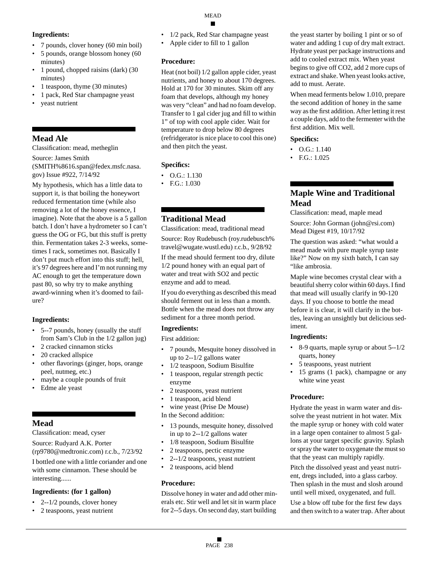## **Ingredients:**

- 7 pounds, clover honey (60 min boil)
- 5 pounds, orange blossom honey (60 minutes)
- 1 pound, chopped raisins (dark) (30 minutes)
- 1 teaspoon, thyme (30 minutes)
- 1 pack, Red Star champagne yeast
- yeast nutrient

# **Mead Ale**

Classification: mead, metheglin

Source: James Smith (SMITH%8616.span@fedex.msfc.nasa. gov) Issue #922, 7/14/92

My hypothesis, which has a little data to support it, is that boiling the honeywort reduced fermentation time (while also removing a lot of the honey essence, I imagine). Note that the above is a 5 gallon batch. I don't have a hydrometer so I can't guess the OG or FG, but this stuff is pretty thin. Fermentation takes 2-3 weeks, sometimes I rack, sometimes not. Basically I don't put much effort into this stuff; hell, it's 97 degrees here and I'm not running my AC enough to get the temperature down past 80, so why try to make anything award-winning when it's doomed to failure?

## **Ingredients:**

- 5--7 pounds, honey (usually the stuff from Sam's Club in the 1/2 gallon jug)
- 2 cracked cinnamon sticks
- 20 cracked allspice
- other flavorings (ginger, hops, orange peel, nutmeg, etc.)
- maybe a couple pounds of fruit
- Edme ale yeast

# **Mead**

Classification: mead, cyser

Source: Rudyard A.K. Porter (rp9780@medtronic.com) r.c.b., 7/23/92

I bottled one with a little coriander and one with some cinnamon. These should be interesting......

## **Ingredients: (for 1 gallon)**

- $\cdot$  2--1/2 pounds, clover honey
- 2 teaspoons, yeast nutrient
- 1/2 pack, Red Star champagne yeast
- Apple cider to fill to 1 gallon

## **Procedure:**

Heat (not boil) 1/2 gallon apple cider, yeast nutrients, and honey to about 170 degrees. Hold at 170 for 30 minutes. Skim off any foam that develops, although my honey was very "clean" and had no foam develop. Transfer to 1 gal cider jug and fill to within 1" of top with cool apple cider. Wait for temperature to drop below 80 degrees (refridgerator is nice place to cool this one) and then pitch the yeast.

# **Specifics:**

- O.G.: 1.130
- F.G.: 1.030

# **Traditional Mead**

Classification: mead, traditional mead

Source: Roy Rudebusch (roy.rudebusch% travel@wugate.wustl.edu) r.c.b., 9/28/92

If the mead should ferment too dry, dilute 1/2 pound honey with an equal part of water and treat with SO2 and pectic enzyme and add to mead.

If you do everything as described this mead should ferment out in less than a month. Bottle when the mead does not throw any sediment for a three month period.

## **Ingredients:**

First addition:

- 7 pounds, Mesquite honey dissolved in up to 2--1/2 gallons water
- 1/2 teaspoon, Sodium Bisulfite
- 1 teaspoon, regular strength pectic enzyme
- 2 teaspoons, yeast nutrient
- 1 teaspoon, acid blend
- wine yeast (Prise De Mouse)
- In the Second addition:
- 13 pounds, mesquite honey, dissolved in up to 2--1/2 gallons water
- 1/8 teaspoon, Sodium Bisulfite
- 2 teaspoons, pectic enzyme
- 2--1/2 teaspoons, yeast nutrient
- 2 teaspoons, acid blend

## **Procedure:**

Dissolve honey in water and add other minerals etc. Stir well and let sit in warm place for 2--5 days. On second day, start building

the yeast starter by boiling 1 pint or so of water and adding 1 cup of dry malt extract. Hydrate yeast per package instructions and add to cooled extract mix. When yeast begins to give off CO2, add 2 more cups of extract and shake. When yeast looks active, add to must. Aerate.

When mead ferments below 1.010, prepare the second addition of honey in the same way as the first addition. After letting it rest a couple days, add to the fermenter with the first addition. Mix well.

## **Specifics:**

- O.G.: 1.140
- F.G.: 1.025

# **Maple Wine and Traditional Mead**

Classification: mead, maple mead

Source: John Gorman (john@rsi.com) Mead Digest #19, 10/17/92

The question was asked: "what would a mead made with pure maple syrup taste like?" Now on my sixth batch, I can say "like ambrosia.

Maple wine becomes crystal clear with a beautiful sherry color within 60 days. I find that mead will usually clarify in 90-120 days. If you choose to bottle the mead before it is clear, it will clarify in the bottles, leaving an unsightly but delicious sediment.

## **Ingredients:**

- 8-9 quarts, maple syrup or about 5--1/2 quarts, honey
- 5 teaspoons, yeast nutrient
- 15 grams (1 pack), champagne or any white wine yeast

## **Procedure:**

Hydrate the yeast in warm water and dissolve the yeast nutrient in hot water. Mix the maple syrup or honey with cold water in a large open container to almost 5 gallons at your target specific gravity. Splash or spray the water to oxygenate the must so that the yeast can multiply rapidly.

Pitch the dissolved yeast and yeast nutrient, dregs included, into a glass carboy. Then splash in the must and slosh around until well mixed, oxygenated, and full.

Use a blow off tube for the first few days and then switch to a water trap. After about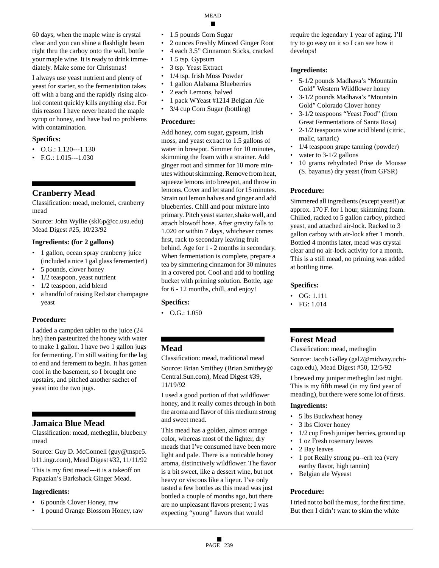60 days, when the maple wine is crystal clear and you can shine a flashlight beam right thru the carboy onto the wall, bottle your maple wine. It is ready to drink immediately. Make some for Christmas!

I always use yeast nutrient and plenty of yeast for starter, so the fermentation takes off with a bang and the rapidly rising alcohol content quickly kills anything else. For this reason I have never heated the maple syrup or honey, and have had no problems with contamination.

#### **Specifics:**

- $\bullet$  O.G.: 1.120---1.130
- $\cdot$  F.G.: 1.015---1.030

# **Cranberry Mead**

Classification: mead, melomel, cranberry mead

Source: John Wyllie (skl6p@cc.usu.edu) Mead Digest #25, 10/23/92

#### **Ingredients: (for 2 gallons)**

- 1 gallon, ocean spray cranberry juice (included a nice 1 gal glass ferementer!)
- 5 pounds, clover honey
- 1/2 teaspoon, yeast nutrient
- 1/2 teaspoon, acid blend
- a handful of raising Red star champagne yeast

#### **Procedure:**

I added a campden tablet to the juice (24 hrs) then pasteurized the honey with water to make 1 gallon. I have two 1 gallon jugs for fermenting. I'm still waiting for the lag to end and ferement to begin. It has gotten cool in the basement, so I brought one upstairs, and pitched another sachet of yeast into the two jugs.

## **Jamaica Blue Mead**

Classification: mead, metheglin, blueberry mead

Source: Guy D. McConnell (guy@mspe5. b11.ingr.com), Mead Digest #32, 11/11/92

This is my first mead---it is a takeoff on Papazian's Barkshack Ginger Mead.

#### **Ingredients:**

- 6 pounds Clover Honey, raw
- 1 pound Orange Blossom Honey, raw
- 1.5 pounds Corn Sugar
- 2 ounces Freshly Minced Ginger Root
- 4 each 3.5" Cinnamon Sticks, cracked

MEAD

- 1.5 tsp. Gypsum
- 3 tsp. Yeast Extract
- 1/4 tsp. Irish Moss Powder
- 1 gallon Alabama Blueberries
- 2 each Lemons, halved
- 1 pack WYeast #1214 Belgian Ale
- 3/4 cup Corn Sugar (bottling)

#### **Procedure:**

Add honey, corn sugar, gypsum, Irish moss, and yeast extract to 1.5 gallons of water in brewpot. Simmer for 10 minutes, skimming the foam with a strainer. Add ginger root and simmer for 10 more minutes without skimming. Remove from heat, squeeze lemons into brewpot, and throw in lemons. Cover and let stand for 15 minutes. Strain out lemon halves and ginger and add blueberries. Chill and pour mixture into primary. Pitch yeast starter, shake well, and attach blowoff hose. After gravity falls to 1.020 or within 7 days, whichever comes first, rack to secondary leaving fruit behind. Age for 1 - 2 months in secondary. When fermentation is complete, prepare a tea by simmering cinnamon for 30 minutes in a covered pot. Cool and add to bottling bucket with priming solution. Bottle, age for 6 - 12 months, chill, and enjoy!

#### **Specifics:**

• O.G.: 1.050

# **Mead**

Classification: mead, traditional mead Source: Brian Smithey (Brian.Smithey@ Central.Sun.com), Mead Digest #39, 11/19/92

I used a good portion of that wildflower honey, and it really comes through in both the aroma and flavor of this medium strong and sweet mead.

This mead has a golden, almost orange color, whereas most of the lighter, dry meads that I've consumed have been more light and pale. There is a noticable honey aroma, distinctively wildflower. The flavor is a bit sweet, like a dessert wine, but not heavy or viscous like a liqeur. I've only tasted a few bottles as this mead was just bottled a couple of months ago, but there are no unpleasant flavors present; I was expecting "young" flavors that would

require the legendary 1 year of aging. I'll try to go easy on it so I can see how it develops!

#### **Ingredients:**

- 5-1/2 pounds Madhava's "Mountain Gold" Western Wildflower honey
- 3-1/2 pounds Madhava's "Mountain Gold" Colorado Clover honey
- 3-1/2 teaspoons "Yeast Food" (from Great Fermentations of Santa Rosa)
- 2-1/2 teaspoons wine acid blend (citric, malic, tartaric)
- 1/4 teaspoon grape tanning (powder)
- water to  $3-1/2$  gallons
- 10 grams rehydrated Prise de Mousse (S. bayanus) dry yeast (from GFSR)

#### **Procedure:**

Simmered all ingredients (except yeast!) at approx. 170 F. for 1 hour, skimming foam. Chilled, racked to 5 gallon carboy, pitched yeast, and attached air-lock. Racked to 3 gallon carboy with air-lock after 1 month. Bottled 4 months later, mead was crystal clear and no air-lock activity for a month. This is a still mead, no priming was added at bottling time.

#### **Specifics:**

- OG: 1.111
- FG: 1.014

# **Forest Mead**

Classification: mead, metheglin

Source: Jacob Galley (gal2@midway.uchicago.edu), Mead Digest #50, 12/5/92

I brewed my juniper metheglin last night. This is my fifth mead (in my first year of meading), but there were some lot of firsts.

#### **Ingredients:**

- 5 lbs Buckwheat honey
- 3 lbs Clover honey
- 1/2 cup Fresh juniper berries, ground up
- 1 oz Fresh rosemary leaves
- 2 Bay leaves
- 1 pot Really strong pu--erh tea (very earthy flavor, high tannin)
- Belgian ale Wyeast

#### **Procedure:**

I tried not to boil the must, for the first time. But then I didn't want to skim the white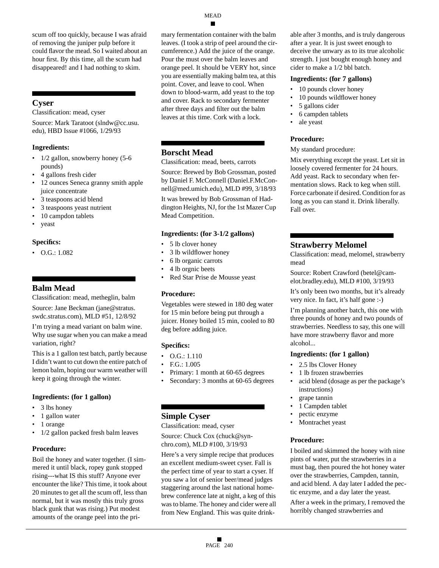scum off too quickly, because I was afraid of removing the juniper pulp before it could flavor the mead. So I waited about an hour first. By this time, all the scum had disappeared! and I had nothing to skim.

# **Cyser**

Classification: mead, cyser

Source: Mark Taratoot (slndw@cc.usu. edu), HBD Issue #1066, 1/29/93

## **Ingredients:**

- 1/2 gallon, snowberry honey (5-6 pounds)
- 4 gallons fresh cider
- 12 ounces Seneca granny smith apple juice concentrate
- 3 teaspoons acid blend
- 3 teaspoons yeast nutrient
- 10 campdon tablets
- yeast

## **Specifics:**

• O.G.: 1.082

# **Balm Mead**

Classification: mead, metheglin, balm Source: Jane Beckman (jane@stratus. swdc.stratus.com), MLD #51, 12/8/92

I'm trying a mead variant on balm wine. Why use sugar when you can make a mead variation, right?

This is a 1 gallon test batch, partly because I didn't want to cut down the entire patch of lemon balm, hoping our warm weather will keep it going through the winter.

#### **Ingredients: (for 1 gallon)**

- 3 lbs honey
- 1 gallon water
- 1 orange
- 1/2 gallon packed fresh balm leaves

#### **Procedure:**

Boil the honey and water together. (I simmered it until black, ropey gunk stopped rising---what IS this stuff? Anyone ever encounter the like? This time, it took about 20 minutes to get all the scum off, less than normal, but it was mostly this truly gross black gunk that was rising.) Put modest amounts of the orange peel into the primary fermentation container with the balm leaves. (I took a strip of peel around the circumference.) Add the juice of the orange. Pour the must over the balm leaves and orange peel. It should be VERY hot, since you are essentially making balm tea, at this point. Cover, and leave to cool. When down to blood-warm, add yeast to the top and cover. Rack to secondary fermenter after three days and filter out the balm leaves at this time. Cork with a lock.

## **Borscht Mead**

Classification: mead, beets, carrots

Source: Brewed by Bob Grossman, posted by Daniel F. McConnell (Daniel.F.McConnell@med.umich.edu), MLD #99, 3/18/93

It was brewed by Bob Grossman of Haddington Heights, NJ, for the 1st Mazer Cup Mead Competition.

#### **Ingredients: (for 3-1/2 gallons)**

- 5 lb clover honey
- 3 lb wildflower honey
- 6 lb organic carrots
- 4 lb orgnic beets
- Red Star Prise de Mousse yeast

#### **Procedure:**

Vegetables were stewed in 180 deg water for 15 min before being put through a juicer. Honey boiled 15 min, cooled to 80 deg before adding juice.

## **Specifics:**

- O.G.: 1.110
- F.G.: 1.005
- Primary: 1 month at 60-65 degrees
- Secondary: 3 months at 60-65 degrees

# **Simple Cyser**

Classification: mead, cyser

Source: Chuck Cox (chuck@synchro.com), MLD #100, 3/19/93

Here's a very simple recipe that produces an excellent medium-sweet cyser. Fall is the perfect time of year to start a cyser. If you saw a lot of senior beer/mead judges staggering around the last national homebrew conference late at night, a keg of this was to blame. The honey and cider were all from New England. This was quite drinkable after 3 months, and is truly dangerous after a year. It is just sweet enough to deceive the unwary as to its true alcoholic strength. I just bought enough honey and cider to make a 1/2 bbl batch.

#### **Ingredients: (for 7 gallons)**

- 10 pounds clover honey
- 10 pounds wildflower honey
- 5 gallons cider
- 6 campden tablets
- ale yeast

## **Procedure:**

#### My standard procedure:

Mix everything except the yeast. Let sit in loosely covered fermenter for 24 hours. Add yeast. Rack to secondary when fermentation slows. Rack to keg when still. Force carbonate if desired. Condition for as long as you can stand it. Drink liberally. Fall over.

# **Strawberry Melomel**

Classification: mead, melomel, strawberry mead

Source: Robert Crawford (betel@camelot.bradley.edu), MLD #100, 3/19/93

It's only been two months, but it's already very nice. In fact, it's half gone :-)

I'm planning another batch, this one with three pounds of honey and two pounds of strawberries. Needless to say, this one will have more strawberry flavor and more alcohol...

#### **Ingredients: (for 1 gallon)**

- 2.5 lbs Clover Honey
- 1 lb frozen strawberries
- acid blend (dosage as per the package's instructions)
- grape tannin
- 1 Campden tablet
- pectic enzyme
- Montrachet yeast

#### **Procedure:**

I boiled and skimmed the honey with nine pints of water, put the strawberries in a must bag, then poured the hot honey water over the strawberries, Campden, tannin, and acid blend. A day later I added the pectic enzyme, and a day later the yeast.

After a week in the primary, I removed the horribly changed strawberries and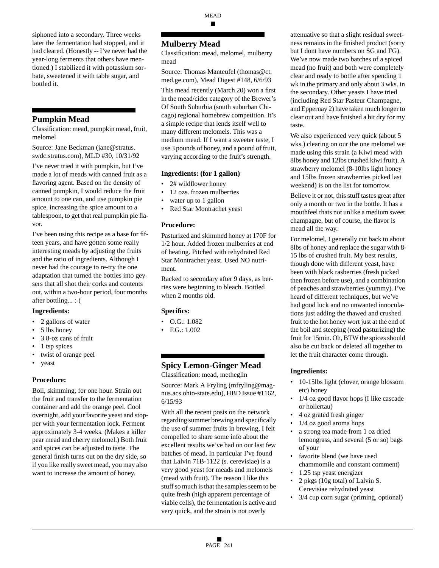MEAD ■

siphoned into a secondary. Three weeks later the fermentation had stopped, and it had cleared. (Honestly -- I've never had the year-long ferments that others have mentioned.) I stabilized it with potassium sorbate, sweetened it with table sugar, and bottled it.

# **Pumpkin Mead**

Classification: mead, pumpkin mead, fruit, melomel

Source: Jane Beckman (jane@stratus. swdc.stratus.com), MLD #30, 10/31/92

I've never tried it with pumpkin, but I've made a lot of meads with canned fruit as a flavoring agent. Based on the density of canned pumpkin, I would reduce the fruit amount to one can, and use pumpkin pie spice, increasing the spice amount to a tablespoon, to get that real pumpkin pie flavor.

I've been using this recipe as a base for fifteen years, and have gotten some really interesting meads by adjusting the fruits and the ratio of ingredients. Although I never had the courage to re-try the one adaptation that turned the bottles into geysers that all shot their corks and contents out, within a two-hour period, four months after bottling... :-(

## **Ingredients:**

- 2 gallons of water
- 5 lbs honey
- 3 8-oz cans of fruit
- 1 tsp spices
- twist of orange peel
- yeast

#### **Procedure:**

Boil, skimming, for one hour. Strain out the fruit and transfer to the fermentation container and add the orange peel. Cool overnight, add your favorite yeast and stopper with your fermentation lock. Ferment approximately 3-4 weeks. (Makes a killer pear mead and cherry melomel.) Both fruit and spices can be adjusted to taste. The general finish turns out on the dry side, so if you like really sweet mead, you may also want to increase the amount of honey.

## **Mulberry Mead**

Classification: mead, melomel, mulberry mead

Source: Thomas Manteufel (thomas@ct. med.ge.com), Mead Digest #148, 6/6/93

This mead recently (March 20) won a first in the mead/cider category of the Brewer's Of South Suburbia (south suburban Chicago) regional homebrew competition. It's a simple recipe that lends itself well to many different melomels. This was a medium mead. If I want a sweeter taste, I use 3 pounds of honey, and a pound of fruit, varying according to the fruit's strength.

#### **Ingredients: (for 1 gallon)**

- 2# wildflower honey
- 12 ozs. frozen mulberries
- water up to 1 gallon
- Red Star Montrachet yeast

#### **Procedure:**

Pasturized and skimmed honey at 170F for 1/2 hour. Added frozen mulberries at end of heating. Pitched with rehydrated Red Star Montrachet yeast. Used NO nutriment.

Racked to secondary after 9 days, as berries were beginning to bleach. Bottled when 2 months old.

#### **Specifics:**

- O.G.: 1.082
- F.G.: 1.002

# **Spicy Lemon-Ginger Mead**

Classification: mead, metheglin

Source: Mark A Fryling (mfryling@magnus.acs.ohio-state.edu), HBD Issue #1162, 6/15/93

With all the recent posts on the network regarding summer brewing and specifically the use of summer fruits in brewing, I felt compelled to share some info about the excellent results we've had on our last few batches of mead. In particular I've found that Lalvin 71B-1122 (s. cerevisiae) is a very good yeast for meads and melomels (mead with fruit). The reason I like this stuff so much is that the samples seem to be quite fresh (high apparent percentage of viable cells), the fermentation is active and very quick, and the strain is not overly

attenuative so that a slight residual sweetness remains in the finished product (sorry but I dont have numbers on SG and FG). We've now made two batches of a spiced mead (no fruit) and both were completely clear and ready to bottle after spending 1 wk in the primary and only about 3 wks. in the secondary. Other yeasts I have tried (including Red Star Pasteur Champagne, and Eppernay 2) have taken much longer to clear out and have finished a bit dry for my taste.

We also experienced very quick (about 5) wks.) clearing on our the one melomel we made using this strain (a Kiwi mead with 8lbs honey and 12lbs crushed kiwi fruit). A strawberry melomel (8-10lbs light honey and 15lbs frozen strawberries picked last weekend) is on the list for tomorrow.

Believe it or not, this stuff tastes great after only a month or two in the bottle. It has a mouthfeel thats not unlike a medium sweet champagne, but of course, the flavor is mead all the way.

For melomel, I generally cut back to about 8lbs of honey and replace the sugar with 8- 15 lbs of crushed fruit. My best results, though done with different yeast, have been with black rasberries (fresh picked then frozen before use), and a combination of peaches and strawberries (yummy). I've heard of different techniques, but we've had good luck and no unwanted innoculations just adding the thawed and crushed fruit to the hot honey wort just at the end of the boil and steeping (read pasturizing) the fruit for 15min. Oh, BTW the spices should also be cut back or deleted all together to let the fruit character come through.

#### **Ingredients:**

- 10-15lbs light (clover, orange blossom etc) honey
- 1/4 oz good flavor hops (I like cascade or hollertau)
- 4 oz grated fresh ginger
- 1/4 oz good aroma hops
- a strong tea made from 1 oz dried lemongrass, and several (5 or so) bags of your
- favorite blend (we have used chammomile and constant comment)
- 1.25 tsp yeast energizer
- 2 pkgs (10g total) of Lalvin S. Cerevisiae rehydrated yeast
- 3/4 cup corn sugar (priming, optional)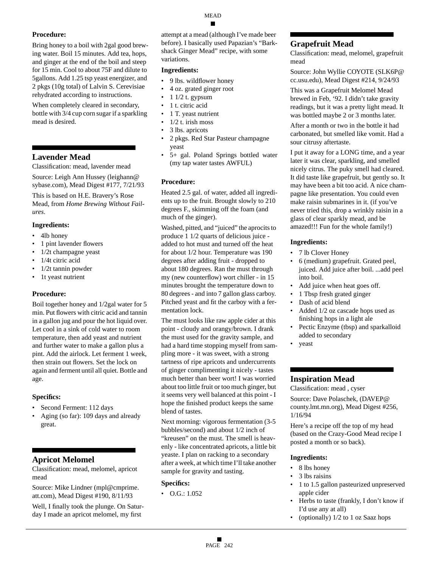Bring honey to a boil with 2gal good brewing water. Boil 15 minutes. Add tea, hops, and ginger at the end of the boil and steep for 15 min. Cool to about 75F and dilute to 5gallons. Add 1.25 tsp yeast energizer, and 2 pkgs (10g total) of Lalvin S. Cerevisiae rehydrated according to instructions.

When completely cleared in secondary, bottle with 3/4 cup corn sugar if a sparkling mead is desired.

## **Lavender Mead**

Classification: mead, lavender mead

Source: Leigh Ann Hussey (leighann@ sybase.com), Mead Digest #177, 7/21/93

This is based on H.E. Bravery's Rose Mead, from *Home Brewing Without Failures*.

#### **Ingredients:**

- 4lb honey
- 1 pint lavender flowers
- 1/2t champagne yeast
- 1/4t citric acid
- 1/2t tannin powder
- 1t yeast nutrient

## **Procedure:**

Boil together honey and 1/2gal water for 5 min. Put flowers with citric acid and tannin in a gallon jug and pour the hot liquid over. Let cool in a sink of cold water to room temperature, then add yeast and nutrient and further water to make a gallon plus a pint. Add the airlock. Let ferment 1 week, then strain out flowers. Set the lock on again and ferment until all quiet. Bottle and age.

#### **Specifics:**

- Second Ferment: 112 days
- Aging (so far): 109 days and already great.

## **Apricot Melomel**

Classification: mead, melomel, apricot mead

Source: Mike Lindner (mpl@cmprime. att.com), Mead Digest #190, 8/11/93

Well, I finally took the plunge. On Saturday I made an apricot melomel, my first

attempt at a mead (although I've made beer before). I basically used Papazian's "Barkshack Ginger Mead" recipe, with some variations.

#### **Ingredients:**

- 9 lbs. wildflower honey
- 4 oz. grated ginger root
- 1 1/2 t. gypsum
- 1 t. citric acid
- 1 T. yeast nutrient
- 1/2 t. irish moss
- 3 lbs. apricots
- 2 pkgs. Red Star Pasteur champagne yeast
- 5+ gal. Poland Springs bottled water (my tap water tastes AWFUL)

## **Procedure:**

Heated 2.5 gal. of water, added all ingredients up to the fruit. Brought slowly to 210 degrees F., skimming off the foam (and much of the ginger).

Washed, pitted, and "juiced" the aprocits to produce 1 1/2 quarts of delicious juice added to hot must and turned off the heat for about 1/2 hour. Temperature was 190 degrees after adding fruit - dropped to about 180 degrees. Ran the must through my (new counterflow) wort chiller - in 15 minutes brought the temperature down to 80 degrees - and into 7 gallon glass carboy. Pitched yeast and fit the carboy with a fermentation lock.

The must looks like raw apple cider at this point - cloudy and orangy/brown. I drank the must used for the gravity sample, and had a hard time stopping myself from sampling more - it was sweet, with a strong tartness of ripe apricots and undercurrents of ginger complimenting it nicely - tastes much better than beer wort! I was worried about too little fruit or too much ginger, but it seems very well balanced at this point - I hope the finished product keeps the same blend of tastes.

Next morning: vigorous fermentation (3-5 bubbles/second) and about 1/2 inch of "kreusen" on the must. The smell is heavenly - like concentrated apricots, a little bit yeaste. I plan on racking to a secondary after a week, at which time I'll take another sample for gravity and tasting.

#### **Specifics:**

• O.G.: 1.052

# **Grapefruit Mead**

Classification: mead, melomel, grapefruit mead

Source: John Wyllie COYOTE (SLK6P@ cc.usu.edu), Mead Digest #214, 9/24/93

This was a Grapefruit Melomel Mead brewed in Feb, '92. I didn't take gravity readings, but it was a pretty light mead. It was bottled maybe 2 or 3 months later.

After a month or two in the bottle it had carbonated, but smelled like vomit. Had a sour citrusy aftertaste.

I put it away for a LONG time, and a year later it was clear, sparkling, and smelled nicely citrus. The puky smell had cleared. It did taste like grapefruit, but gently so. It may have been a bit too acid. A nice champagne like presentation. You could even make raisin submarines in it. (if you've never tried this, drop a wrinkly raisin in a glass of clear sparkly mead, and be amazed!!! Fun for the whole family!)

## **Ingredients:**

- 7 lb Clover Honey
- 6 (medium) grapefruit. Grated peel, juiced. Add juice after boil. ...add peel into boil.
- Add juice when heat goes off.
- 1 Tbsp fresh grated ginger
- Dash of acid blend
- Added 1/2 oz cascade hops used as finishing hops in a light ale
- Pectic Enzyme (tbsp) and sparkalloid added to secondary
- yeast

# **Inspiration Mead**

Classification: mead , cyser

Source: Dave Polaschek, (DAVEP@ county.lmt.mn.org), Mead Digest #256, 1/16/94

Here's a recipe off the top of my head (based on the Crazy-Good Mead recipe I posted a month or so back).

## **Ingredients:**

- 8 lbs honey
- 3 lbs raisins
- 1 to 1.5 gallon pasteurized unpreserved apple cider
- Herbs to taste (frankly, I don't know if I'd use any at all)
- (optionally)  $1/2$  to 1 oz Saaz hops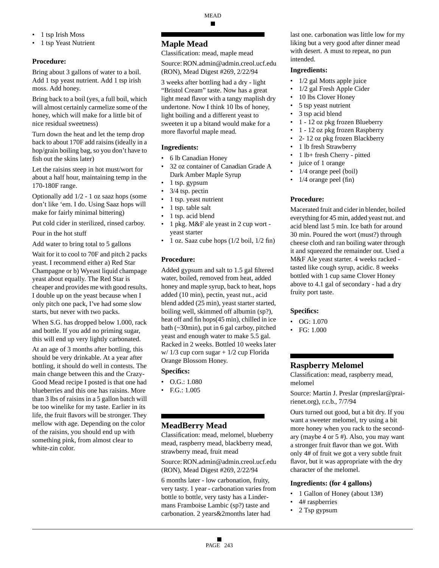- 1 tsp Irish Moss
- 1 tsp Yeast Nutrient

Bring about 3 gallons of water to a boil. Add 1 tsp yeast nutrient. Add 1 tsp irish moss. Add honey.

Bring back to a boil (yes, a full boil, which will almost certainly carmelize some of the honey, which will make for a little bit of nice residual sweetness)

Turn down the heat and let the temp drop back to about 170F add raisins (ideally in a hop/grain boiling bag, so you don't have to fish out the skins later)

Let the raisins steep in hot must/wort for about a half hour, maintaining temp in the 170-180F range.

Optionally add 1/2 - 1 oz saaz hops (some don't like 'em. I do. Using Saaz hops will make for fairly minimal bittering)

Put cold cider in sterilized, rinsed carboy. Pour in the hot stuff

Add water to bring total to 5 gallons

Wait for it to cool to 70F and pitch 2 packs yeast. I recommend either a) Red Star Champagne or b) Wyeast liquid champage yeast about equally. The Red Star is cheaper and provides me with good results. I double up on the yeast because when I only pitch one pack, I've had some slow starts, but never with two packs.

When S.G. has dropped below 1.000, rack and bottle. If you add no priming sugar, this will end up very lightly carbonated.

At an age of 3 months after bottling, this should be very drinkable. At a year after bottling, it should do well in contests. The main change between this and the Crazy-Good Mead recipe I posted is that one had blueberries and this one has raisins. More than 3 lbs of raisins in a 5 gallon batch will be too winelike for my taste. Earlier in its life, the fruit flavors will be stronger. They mellow with age. Depending on the color of the raisins, you should end up with something pink, from almost clear to white-zin color.

# **Maple Mead**

Classification: mead, maple mead

Source: RON.admin@admin.creol.ucf.edu (RON), Mead Digest #269, 2/22/94

3 weeks after bottling had a dry - light "Bristol Cream" taste. Now has a great light mead flavor with a tangy maplish dry undertone. Now I think 10 lbs of honey, light boiling and a different yeast to sweeten it up a bitand would make for a more flavorful maple mead.

## **Ingredients:**

- 6 lb Canadian Honey
- 32 oz container of Canadian Grade A Dark Amber Maple Syrup
- 1 tsp. gypsum
- 3/4 tsp. pectin
- 1 tsp. yeast nutrient
- 1 tsp. table salt
- 1 tsp. acid blend
- 1 pkg. M&F ale yeast in 2 cup wort yeast starter
- 1 oz. Saaz cube hops (1/2 boil, 1/2 fin)

# **Procedure:**

Added gypsum and salt to 1.5 gal filtered water, boiled, removed from heat, added honey and maple syrup, back to heat, hops added (10 min), pectin, yeast nut., acid blend added (25 min), yeast starter started, boiling well, skimmed off albumin (sp?), heat off and fin hops(45 min), chilled in ice bath (~30min), put in 6 gal carboy, pitched yeast and enough water to make 5.5 gal. Racked in 2 weeks. Bottled 10 weeks later w/ 1/3 cup corn sugar + 1/2 cup Florida Orange Blossom Honey.

# **Specifics:**

- O.G.: 1.080
- F.G.: 1.005

# **MeadBerry Mead**

Classification: mead, melomel, blueberry mead, raspberry mead, blackberry mead, strawberry mead, fruit mead

Source: RON.admin@admin.creol.ucf.edu (RON), Mead Digest #269, 2/22/94

6 months later - low carbonation, fruity, very tasty. 1 year - carbonation varies from bottle to bottle, very tasty has a Lindermans Framboise Lambic (sp?) taste and carbonation. 2 years&2months later had

last one. carbonation was little low for my liking but a very good after dinner mead with desert. A must to repeat, no pun intended.

## **Ingredients:**

- 1/2 gal Motts apple juice
- 1/2 gal Fresh Apple Cider
- 10 lbs Clover Honey
- 5 tsp yeast nutrient
- 3 tsp acid blend
- 1 12 oz pkg frozen Blueberry
- 1 12 oz pkg frozen Raspberry
- 2- 12 oz pkg frozen Blackberry
- 1 lb fresh Strawberry
- 1 lb+ fresh Cherry pitted
- juice of 1 orange
- 1/4 orange peel (boil)
- $1/4$  orange peel (fin)

## **Procedure:**

Macerated fruit and cider in blender, boiled everything for 45 min, added yeast nut. and acid blend last 5 min. Ice bath for around 30 min. Poured the wort (must?) through cheese cloth and ran boiling water through it and squeezed the remainder out. Used a M&F Ale yeast starter. 4 weeks racked tasted like cough syrup, acidic. 8 weeks bottled with 1 cup same Clover Honey above to 4.1 gal of secondary - had a dry fruity port taste.

## **Specifics:**

- $\bullet$  OG: 1.070
- FG: 1.000

# **Raspberry Melomel**

Classification: mead, raspberry mead, melomel

Source: Martin J. Preslar (mpreslar@prairienet.org), r.c.b., 7/7/94

Ours turned out good, but a bit dry. If you want a sweeter melomel, try using a bit more honey when you rack to the secondary (maybe 4 or 5 #). Also, you may want a stronger fruit flavor than we got. With only 4# of fruit we got a very subtle fruit flavor, but it was appropriate with the dry character of the melomel.

#### **Ingredients: (for 4 gallons)**

- 1 Gallon of Honey (about 13#)
- 4# raspberries
- 2 Tsp gypsum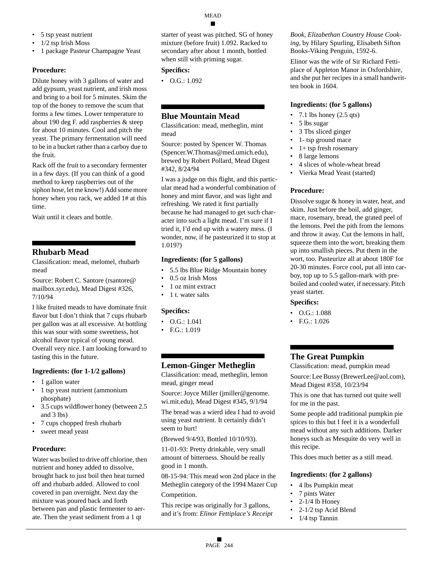- 5 tsp yeast nutrient
- 1/2 tsp Irish Moss
- 1 package Pasteur Champagne Yeast

Dilute honey with 3 gallons of water and add gypsum, yeast nutrient, and irish moss and bring to a boil for 5 minutes. Skim the top of the honey to remove the scum that forms a few times. Lower temperature to about 190 deg F. add raspberries & steep for about 10 minutes. Cool and pitch the yeast. The primary fermentation will need to be in a bucket rather than a carboy due to the fruit.

Rack off the fruit to a secondary fermenter in a few days. (If you can think of a good method to keep raspberries out of the siphon hose, let me know!) Add some more honey when you rack, we added 1# at this time.

Wait until it clears and bottle.

# **Rhubarb Mead**

Classification: mead, melomel, rhubarb mead

Source: Robert C. Santore (rsantore@ mailbox.syr.edu), Mead Digest #326, 7/10/94

I like fruited meads to have dominate fruit flavor but I don't think that 7 cups rhubarb per gallon was at all excessive. At bottling this was sour with some sweetness, hot alcohol flavor typical of young mead. Overall very nice. I am looking forward to tasting this in the future.

#### **Ingredients: (for 1-1/2 gallons)**

- 1 gallon water
- 1 tsp yeast nutrient (ammonium phosphate)
- 3.5 cups wildflower honey (between 2.5 and 3 lbs)
- 7 cups chopped fresh rhubarb
- sweet mead yeast

#### **Procedure:**

Water was boiled to drive off chlorine, then nutrient and honey added to dissolve, brought back to just boil then heat turned off and rhubarb added. Allowed to cool covered in pan overnight. Next day the mixture was poured back and forth between pan and plastic fermenter to aerate. Then the yeast sediment from a 1 qt

starter of yeast was pitched. SG of honey mixture (before fruit) 1.092. Racked to secondary after about 1 month, bottled when still with priming sugar.

#### **Specifics:**

• O.G.: 1.092

# **Blue Mountain Mead**

Classification: mead, metheglin, mint mead

Source: posted by Spencer W. Thomas (Spencer.W.Thomas@med.umich.edu), brewed by Robert Pollard, Mead Digest #342, 8/24/94

I was a judge on this flight, and this particular mead had a wonderful combination of honey and mint flavor, and was light and refreshing. We rated it first partially because he had managed to get such character into such a light mead. I'm sure if I tried it, I'd end up with a watery mess. (I wonder, now, if he pasteurized it to stop at 1.019?)

## **Ingredients: (for 5 gallons)**

- 5.5 lbs Blue Ridge Mountain honey
- 0.5 oz Irish Moss
- 1 oz mint extract
- 1 t. water salts

#### **Specifics:**

- O.G.: 1.041
- F.G.: 1.019

# **Lemon-Ginger Metheglin**

Classification: mead, metheglin, lemon mead, ginger mead

Source: Joyce Miller (jmiller@genome. wi.mit.edu), Mead Digest #345, 9/1/94

The bread was a wierd idea I had to avoid using yeast nutrient. It certainly didn't seem to hurt!

(Brewed 9/4/93, Bottled 10/10/93).

11-01-93: Pretty drinkable, very small amount of bitterness. Should be really good in 1 month.

08-15-94: This mead won 2nd place in the Metheglin category of the 1994 Mazer Cup Competition.

This recipe was originally for 3 gallons, and it's from: *Elinor Fettiplace's Receipt*

*Book, Elizabethan Country House Cooking*, by Hilary Spurling, Elisabeth Sifton Books-Viking Penguin, 1592-6.

Elinor was the wife of Sir Richard Fettiplace of Appleton Manor in Oxfordshire, and she put her recipes in a small handwritten book in 1604.

## **Ingredients: (for 5 gallons)**

- 7.1 lbs honey  $(2.5 \text{ qts})$
- 5 lbs sugar
- 3 Tbs sliced ginger
- 1- tsp ground mace
- 1+ tsp fresh rosemary
- 8 large lemons
- 4 slices of whole-wheat bread
- Vierka Mead Yeast (started)

## **Procedure:**

Dissolve sugar & honey in water, heat, and skim. Just before the boil, add ginger, mace, rosemary, bread, the grated peel of the lemons. Peel the pith from the lemons and throw it away. Cut the lemons in half, squeeze them into the wort, breaking them up into smallish pieces. Put them in the wort, too. Pasteurize all at about 180F for 20-30 minutes. Force cool, put all into carboy, top up to 5.5 gallon-mark with preboiled and cooled water, if necessary. Pitch yeast starter.

#### **Specifics:**

- O.G.: 1.088
- F.G.: 1.026

# **The Great Pumpkin**

Classification: mead, pumpkin mead

Source: Lee Bussy (BrewerLee@aol.com), Mead Digest #358, 10/23/94

This is one that has turned out quite well for me in the past.

Some people add traditional pumpkin pie spices to this but I feel it is a wonderfull mead without any such additions. Darker honeys such as Mesquite do very well in this recipe.

This does much better as a still mead.

#### **Ingredients: (for 2 gallons)**

- 4 lbs Pumpkin meat
- 7 pints Water
- $2-1/4$  lb Honey
- 2-1/2 tsp Acid Blend
- 1/4 tsp Tannin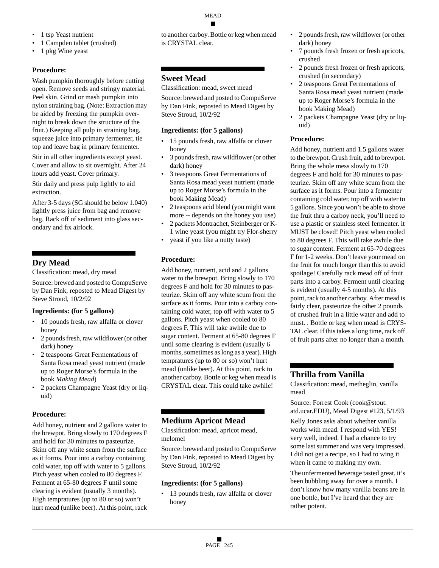- 1 tsp Yeast nutrient
- 1 Campden tablet (crushed)
- 1 pkg Wine yeast

Wash pumpkin thoroughly before cutting open. Remove seeds and stringy material. Peel skin. Grind or mash pumpkin into nylon straining bag. (Note: Extraction may be aided by freezing the pumpkin overnight to break down the structure of the fruit.) Keeping all pulp in straining bag, squeeze juice into primary fermenter, tie top and leave bag in primary fermenter.

Stir in all other ingredients except yeast. Cover and allow to sit overnight. After 24 hours add yeast. Cover primary.

Stir daily and press pulp lightly to aid extraction.

After 3-5 days (SG should be below 1.040) lightly press juice from bag and remove bag. Rack off of sediment into glass secondary and fix airlock.

# **Dry Mead**

Classification: mead, dry mead

Source: brewed and posted to CompuServe by Dan Fink, reposted to Mead Digest by Steve Stroud, 10/2/92

#### **Ingredients: (for 5 gallons)**

- 10 pounds fresh, raw alfalfa or clover honey
- 2 pounds fresh, raw wildflower (or other dark) honey
- 2 teaspoons Great Fermentations of Santa Rosa mead yeast nutrient (made up to Roger Morse's formula in the book *Making Mead*)
- 2 packets Champagne Yeast (dry or liquid)

## **Procedure:**

Add honey, nutrient and 2 gallons water to the brewpot. Bring slowly to 170 degrees F and hold for 30 minutes to pasteurize. Skim off any white scum from the surface as it forms. Pour into a carboy containing cold water, top off with water to 5 gallons. Pitch yeast when cooled to 80 degrees F. Ferment at 65-80 degrees F until some clearing is evident (usually 3 months). High tempratures (up to 80 or so) won't hurt mead (unlike beer). At this point, rack to another carboy. Bottle or keg when mead is CRYSTAL clear.

# **Sweet Mead**

Classification: mead, sweet mead

Source: brewed and posted to CompuServe by Dan Fink, reposted to Mead Digest by Steve Stroud, 10/2/92

## **Ingredients: (for 5 gallons)**

- 15 pounds fresh, raw alfalfa or clover honey
- 3 pounds fresh, raw wildflower (or other dark) honey
- 3 teaspoons Great Fermentations of Santa Rosa mead yeast nutrient (made up to Roger Morse's formula in the book Making Mead)
- 2 teaspoons acid blend (you might want more -- depends on the honey you use)
- 2 packets Montrachet, Steinberger or K-1 wine yeast (you might try Flor-sherry
- yeast if you like a nutty taste)

# **Procedure:**

Add honey, nutrient, acid and 2 gallons water to the brewpot. Bring slowly to 170 degrees F and hold for 30 minutes to pasteurize. Skim off any white scum from the surface as it forms. Pour into a carboy containing cold water, top off with water to 5 gallons. Pitch yeast when cooled to 80 degrees F. This will take awhile due to sugar content. Ferment at 65-80 degrees F until some clearing is evident (usually 6 months, sometimes as long as a year). High tempratures (up to 80 or so) won't hurt mead (unlike beer). At this point, rack to another carboy. Bottle or keg when mead is CRYSTAL clear. This could take awhile!

# **Medium Apricot Mead**

Classification: mead, apricot mead, melomel

Source: brewed and posted to CompuServe by Dan Fink, reposted to Mead Digest by Steve Stroud, 10/2/92

#### **Ingredients: (for 5 gallons)**

• 13 pounds fresh, raw alfalfa or clover honey

- 2 pounds fresh, raw wildflower (or other dark) honey
- 7 pounds fresh frozen or fresh apricots, crushed
- 2 pounds fresh frozen or fresh apricots, crushed (in secondary)
- 2 teaspoons Great Fermentations of Santa Rosa mead yeast nutrient (made up to Roger Morse's formula in the book Making Mead)
- 2 packets Champagne Yeast (dry or liquid)

# **Procedure:**

Add honey, nutrient and 1.5 gallons water to the brewpot. Crush fruit, add to brewpot. Bring the whole mess slowly to 170 degrees F and hold for 30 minutes to pasteurize. Skim off any white scum from the surface as it forms. Pour into a fermenter containing cold water, top off with water to 5 gallons. Since you won't be able to shove the fruit thru a carboy neck, you'll need to use a plastic or stainless steel fermenter. it MUST be closed! Pitch yeast when cooled to 80 degrees F. This will take awhile due to sugar content. Ferment at 65-70 degrees F for 1-2 weeks. Don't leave your mead on the fruit for much longer than this to avoid spoilage! Carefully rack mead off of fruit parts into a carboy. Ferment until clearing is evident (usually 4-5 months). At this point, rack to another carboy. After mead is fairly clear, pasteurize the other 2 pounds of crushed fruit in a little water and add to must. . Bottle or keg when mead is CRYS-TAL clear. If this takes a long time, rack off of fruit parts after no longer than a month.

# **Thrilla from Vanilla**

Classification: mead, metheglin, vanilla mead

Source: Forrest Cook (cook@stout. atd.ucar.EDU), Mead Digest #123, 5/1/93

Kelly Jones asks about whether vanilla works with mead. I respond with YES! very well, indeed. I had a chance to try some last summer and was very impressed. I did not get a recipe, so I had to wing it when it came to making my own.

The unfermented beverage tasted great, it's been bubbling away for over a month. I don't know how many vanilla beans are in one bottle, but I've heard that they are rather potent.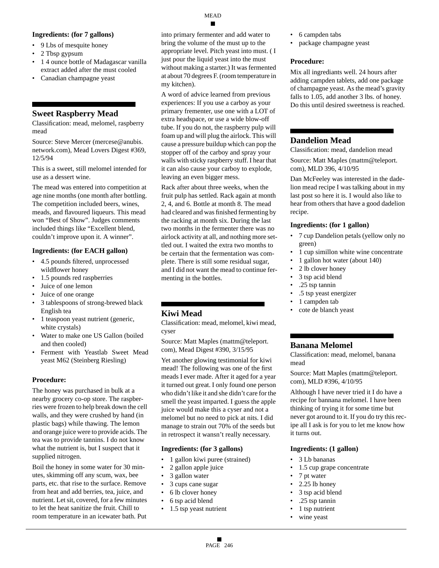#### **Ingredients: (for 7 gallons)**

- 9 Lbs of mesquite honey
- 2 Tbsp gypsum
- 1 4 ounce bottle of Madagascar vanilla extract added after the must cooled
- Canadian champagne yeast

# **Sweet Raspberry Mead**

Classification: mead, melomel, raspberry mead

Source: Steve Mercer (mercese@anubis. network.com), Mead Lovers Digest #369, 12/5/94

This is a sweet, still melomel intended for use as a dessert wine.

The mead was entered into competition at age nine months (one month after bottling. The competition included beers, wines, meads, and flavoured liqueurs. This mead won "Best of Show". Judges comments included things like "Excellent blend, couldn't improve upon it. A winner".

## **Ingredients: (for EACH gallon)**

- 4.5 pounds filtered, unprocessed wildflower honey
- 1.5 pounds red raspberries
- Juice of one lemon
- Juice of one orange
- 3 tablespoons of strong-brewed black English tea
- 1 teaspoon yeast nutrient (generic, white crystals)
- Water to make one US Gallon (boiled and then cooled)
- Ferment with Yeastlab Sweet Mead yeast M62 (Steinberg Riesling)

#### **Procedure:**

The honey was purchased in bulk at a nearby grocery co-op store. The raspberries were frozen to help break down the cell walls, and they were crushed by hand (in plastic bags) while thawing. The lemon and orange juice were to provide acids. The tea was to provide tannins. I do not know what the nutrient is, but I suspect that it supplied nitrogen.

Boil the honey in some water for 30 minutes, skimming off any scum, wax, bee parts, etc. that rise to the surface. Remove from heat and add berries, tea, juice, and nutrient. Let sit, covered, for a few minutes to let the heat sanitize the fruit. Chill to room temperature in an icewater bath. Put

into primary fermenter and add water to bring the volume of the must up to the appropriate level. Pitch yeast into must. ( I just pour the liquid yeast into the must without making a starter.) It was fermented at about 70 degrees F. (room temperature in my kitchen).

A word of advice learned from previous experiences: If you use a carboy as your primary frementer, use one with a LOT of extra headspace, or use a wide blow-off tube. If you do not, the raspberry pulp will foam up and will plug the airlock. This will cause a pressure buildup which can pop the stopper off of the carboy and spray your walls with sticky raspberry stuff. I hear that it can also cause your carboy to explode, leaving an even bigger mess.

Rack after about three weeks, when the fruit pulp has settled. Rack again at month 2, 4, and 6. Bottle at month 8. The mead had cleared and was finished fermenting by the racking at month six. During the last two months in the fermenter there was no airlock activity at all, and nothing more settled out. I waited the extra two months to be certain that the fermentation was complete. There is still some residual sugar, and I did not want the mead to continue fermenting in the bottles.

# **Kiwi Mead**

Classification: mead, melomel, kiwi mead, cyser

Source: Matt Maples (mattm@teleport. com), Mead Digest #390, 3/15/95

Yet another glowing testimonial for kiwi mead! The following was one of the first meads I ever made. After it aged for a year it turned out great. I only found one person who didn't like it and she didn't care for the smell the yeast imparted. I guess the apple juice would make this a cyser and not a melomel but no need to pick at nits. I did manage to strain out 70% of the seeds but in retrospect it wansn't really necessary.

#### **Ingredients: (for 3 gallons)**

- 1 gallon kiwi puree (strained)
- 2 gallon apple juice
- 3 gallon water
- 3 cups cane sugar
- 6 lb clover honey
- 6 tsp acid blend
- 1.5 tsp yeast nutrient
- 6 campden tabs
- package champagne yeast

#### **Procedure:**

Mix all ingrediants well. 24 hours after adding campden tablets, add one package of champagne yeast. As the mead's gravity falls to 1.05, add another 3 lbs. of honey. Do this until desired sweetness is reached.

# **Dandelion Mead**

Classification: mead, dandelion mead Source: Matt Maples (mattm@teleport. com), MLD 396, 4/10/95

Dan McFeeley was interested in the dadelion mead recipe I was talking about in my last post so here it is. I would also like to hear from others that have a good dadelion recipe.

#### **Ingredients: (for 1 gallon)**

- 7 cup Dandelion petals (yellow only no green)
- 1 cup simillon white wine concentrate
- 1 gallon hot water (about 140)
- 2 lb clover honey
- 3 tsp acid blend
- .25 tsp tannin
- .5 tsp yeast energizer
- 1 campden tab
- cote de blanch yeast

# **Banana Melomel**

Classification: mead, melomel, banana mead

Source: Matt Maples (mattm@teleport. com), MLD #396, 4/10/95

Although I have never tried it I do have a recipe for bannana melomel. I have been thinking of trying it for some time but never got around to it. If you do try this recipe all I ask is for you to let me know how it turns out.

#### **Ingredients: (1 gallon)**

- 3 Lb bananas
- 1.5 cup grape concentrate
- 7 pt water
- 2.25 lb honey
- 3 tsp acid blend
- .25 tsp tannin
- 1 tsp nutrient
- wine yeast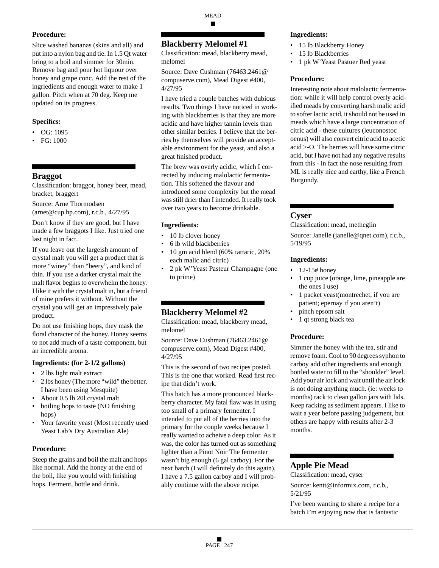Slice washed bananas (skins and all) and put into a nylon bag and tie. In 1.5 Qt water bring to a boil and simmer for 30min. Remove bag and pour hot liquour over honey and grape conc. Add the rest of the ingriedients and enough water to make 1 gallon. Pitch when at 70 deg. Keep me updated on its progress.

## **Specifics:**

- OG: 1095
- FG: 1000

# **Braggot**

Classification: braggot, honey beer, mead, bracket, braggert

Source: Arne Thormodsen (arnet@cup.hp.com), r.c.b., 4/27/95

Don't know if they are good, but I have made a few braggots I like. Just tried one last night in fact.

If you leave out the largeish amount of crystal malt you will get a product that is more "winey" than "beery", and kind of thin. If you use a darker crystal malt the malt flavor begins to overwhelm the honey. I like it with the crystal malt in, but a friend of mine prefers it without. Without the crystal you will get an impressively pale product.

Do not use finishing hops, they mask the floral character of the honey. Honey seems to not add much of a taste component, but an incredible aroma.

#### **Ingredients: (for 2-1/2 gallons)**

- 2 lbs light malt extract
- 2 lbs honey (The more "wild" the better, I have been using Mesquite)
- About 0.5 lb 20l crystal malt
- boiling hops to taste (NO finishing hops)
- Your favorite yeast (Most recently used Yeast Lab's Dry Australian Ale)

#### **Procedure:**

Steep the grains and boil the malt and hops like normal. Add the honey at the end of the boil, like you would with finishing hops. Ferment, bottle and drink.

MEAD

# **Blackberry Melomel #1**

Classification: mead, blackberry mead, melomel

Source: Dave Cushman (76463.2461@ compuserve.com), Mead Digest #400, 4/27/95

I have tried a couple batches with dubious results. Two things I have noticed in working with blackberries is that they are more acidic and have higher tannin levels than other similar berries. I believe that the berries by themselves will provide an acceptable environment for the yeast, and also a great finished product.

The brew was overly acidic, which I corrected by inducing malolactic fermentation. This softened the flavour and introduced some complexity but the mead was still drier than I intended. It really took over two years to become drinkable.

## **Ingredients:**

- 10 lb clover honey
- 6 lb wild blackberries
- 10 gm acid blend (60% tartaric, 20% each malic and citric)
- 2 pk W'Yeast Pasteur Champagne (one to prime)

# **Blackberry Melomel #2**

Classification: mead, blackberry mead, melomel

Source: Dave Cushman (76463.2461@ compuserve.com), Mead Digest #400, 4/27/95

This is the second of two recipes posted. This is the one that worked. Read first recipe that didn't work.

This batch has a more pronounced blackberry character. My fatal flaw was in using too small of a primary fermenter. I intended to put all of the berries into the primary for the couple weeks because I really wanted to acheive a deep color. As it was, the color has turned out as something lighter than a Pinot Noir The fermenter wasn't big enough (6 gal carboy). For the next batch (I will definitely do this again), I have a 7.5 gallon carboy and I will probably continue with the above recipe.

#### **Ingredients:**

- 15 lb Blackberry Honey
- 15 lb Blackberries
- 1 pk W'Yeast Pastuer Red yeast

## **Procedure:**

Interesting note about malolactic fermentation: while it will help control overly acidified meads by converting harsh malic acid to softer lactic acid, it should not be used in meads which have a large concentration of citric acid - these cultures (leuconostoc oenus) will also convert citric acid to acetic acid >-O. The berries will have some citric acid, but I have not had any negative results from this - in fact the nose resulting from ML is really nice and earthy, like a French Burgundy.

# **Cyser**

Classification: mead, metheglin

Source: Janelle (janelle@qnet.com), r.c.b., 5/19/95

## **Ingredients:**

- $12-15#$  honey
- 1 cup juice (orange, lime, pineapple are the ones I use)
- 1 packet yeast(montrechet, if you are patient; epernay if you aren't)
- pinch epsom salt
- 1 qt strong black tea

## **Procedure:**

Simmer the honey with the tea, stir and remove foam. Cool to 90 degrees syphon to carboy add other ingredients and enough bottled water to fill to the "shoulder" level. Add your air lock and wait until the air lock is not doing anything much. (ie: weeks to months) rack to clean gallon jars with lids. Keep racking as sediment appears. I like to wait a year before passing judgement, but others are happy with results after 2-3 months.

# **Apple Pie Mead**

Classification: mead, cyser Source: kentt@informix.com, r.c.b., 5/21/95

I've been wanting to share a recipe for a batch I'm enjoying now that is fantastic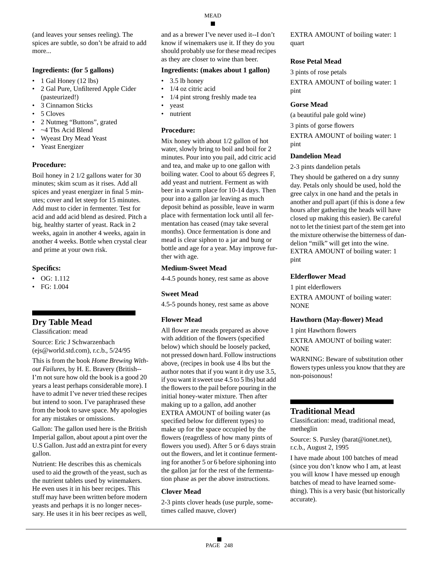(and leaves your senses reeling). The spices are subtle, so don't be afraid to add more...

#### **Ingredients: (for 5 gallons)**

- 1 Gal Honey (12 lbs)
- 2 Gal Pure, Unfiltered Apple Cider (pasteurized!)
- 3 Cinnamon Sticks
- 5 Cloves
- 2 Nutmeg "Buttons", grated
- ~4 Tbs Acid Blend
- Wyeast Dry Mead Yeast
- Yeast Energizer

#### **Procedure:**

Boil honey in 2 1/2 gallons water for 30 minutes; skim scum as it rises. Add all spices and yeast energizer in final 5 minutes; cover and let steep for 15 minutes. Add must to cider in fermenter. Test for acid and add acid blend as desired. Pitch a big, healthy starter of yeast. Rack in 2 weeks, again in another 4 weeks, again in another 4 weeks. Bottle when crystal clear and prime at your own risk.

#### **Specifics:**

- OG: 1.112
- FG: 1.004

# **Dry Table Mead**

Classification: mead

Source: Eric J Schwarzenbach (ejs@world.std.com), r.c.b., 5/24/95

This is from the book *Home Brewing Without Failures*, by H. E. Bravery (British-- I'm not sure how old the book is a good 20 years a least perhaps considerable more). I have to admit I've never tried these recipes but intend to soon. I've paraphrased these from the book to save space. My apologies for any mistakes or omissions.

Gallon: The gallon used here is the British Imperial gallon, about apout a pint over the U.S Gallon. Just add an extra pint for every gallon.

Nutrient: He describes this as chemicals used to aid the growth of the yeast, such as the nutrient tablets used by winemakers. He even uses it in his beer recipes. This stuff may have been written before modern yeasts and perhaps it is no longer necessary. He uses it in his beer recipes as well,

and as a brewer I've never used it--I don't know if winemakers use it. If they do you should probably use for these mead recipes as they are closer to wine than beer.

#### **Ingredients: (makes about 1 gallon)**

- 3.5 lb honey
- 1/4 oz citric acid
- 1/4 pint strong freshly made tea
- yeast
- nutrient

#### **Procedure:**

Mix honey with about 1/2 gallon of hot water, slowly bring to boil and boil for 2 minutes. Pour into you pail, add citric acid and tea, and make up to one gallon with boiling water. Cool to about 65 degrees F, add yeast and nutrient. Ferment as with beer in a warm place for 10-14 days. Then pour into a gallon jar leaving as much deposit behind as possible, leave in warm place with fermentation lock until all fermentation has ceased (may take several months). Once fermentation is done and mead is clear siphon to a jar and bung or bottle and age for a year. May improve further with age.

#### **Medium-Sweet Mead**

4-4.5 pounds honey, rest same as above

#### **Sweet Mead**

4.5-5 pounds honey, rest same as above

#### **Flower Mead**

All flower are meads prepared as above with addition of the flowers (specified below) which should be loosely packed, not pressed down hard. Follow instructions above, (recipes in book use 4 lbs but the author notes that if you want it dry use 3.5, if you want it sweet use 4.5 to 5 lbs) but add the flowers to the pail before pouring in the initial honey-water mixture. Then after making up to a gallon, add another EXTRA AMOUNT of boiling water (as specified below for different types) to make up for the space occupied by the flowers (reagrdless of how many pints of flowers you used). After 5 or 6 days strain out the flowers, and let it continue fermenting for another 5 or 6 before siphoning into the gallon jar for the rest of the fermentation phase as per the above instructions.

#### **Clover Mead**

2-3 pints clover heads (use purple, sometimes called mauve, clover)

EXTRA AMOUNT of boiling water: 1 quart

#### **Rose Petal Mead**

3 pints of rose petals

EXTRA AMOUNT of boiling water: 1 pint

#### **Gorse Mead**

(a beautiful pale gold wine)

3 pints of gorse flowers

EXTRA AMOUNT of boiling water: 1 pint

#### **Dandelion Mead**

2-3 pints dandelion petals

They should be gathered on a dry sunny day. Petals only should be used, hold the gree calyx in one hand and the petals in another and pull apart (if this is done a few hours after gathering the heads will have closed up making this easier). Be careful not to let the tiniest part of the stem get into the mixture otherwise the bitterness of dandelion "milk" will get into the wine. EXTRA AMOUNT of boiling water: 1 pint

#### **Elderflower Mead**

1 pint elderflowers

EXTRA AMOUNT of boiling water: NONE

#### **Hawthorn (May-flower) Mead**

1 pint Hawthorn flowers

EXTRA AMOUNT of boiling water: NONE

WARNING: Beware of substitution other flowers types unless you know that they are non-poisonous!

## **Traditional Mead**

Classification: mead, traditional mead, metheglin

Source: S. Pursley (barat@ionet.net), r.c.b., August 2, 1995

I have made about 100 batches of mead (since you don't know who I am, at least you will know I have messed up enough batches of mead to have learned something). This is a very basic (but historically accurate).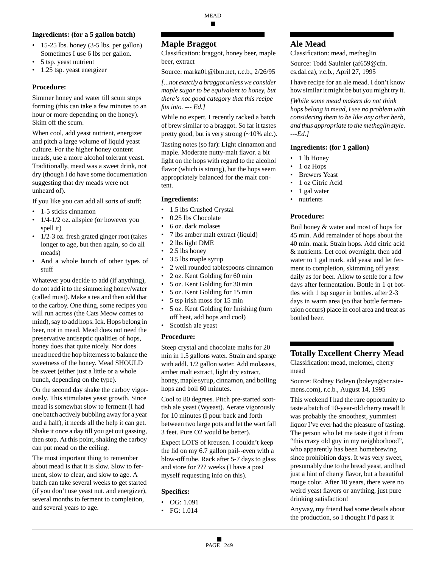#### **Ingredients: (for a 5 gallon batch)**

- $\cdot$  15-25 lbs. honey (3-5 lbs. per gallon) Sometimes I use 6 lbs per gallon.
- 5 tsp. yeast nutrient
- 1.25 tsp. yeast energizer

#### **Procedure:**

Simmer honey and water till scum stops forming (this can take a few minutes to an hour or more depending on the honey). Skim off the scum.

When cool, add yeast nutrient, energizer and pitch a large volume of liquid yeast culture. For the higher honey content meads, use a more alcohol tolerant yeast. Traditionally, mead was a sweet drink, not dry (though I do have some documentation suggesting that dry meads were not unheard of).

If you like you can add all sorts of stuff:

- 1-5 sticks cinnamon
- $1/4-1/2$  oz. allspice (or however you spell it)
- 1/2-3 oz. fresh grated ginger root (takes longer to age, but then again, so do all meads)
- And a whole bunch of other types of stuff

Whatever you decide to add (if anything), do not add it to the simmering honey/water (called must). Make a tea and then add that to the carboy. One thing, some recipes you will run across (the Cats Meow comes to mind), say to add hops. Ick. Hops belong in beer, not in mead. Mead does not need the preservative antiseptic qualities of hops, honey does that quite nicely. Nor does mead need the hop bitterness to balance the sweetness of the honey. Mead SHOULD be sweet (either just a little or a whole bunch, depending on the type).

On the second day shake the carboy vigorously. This stimulates yeast growth. Since mead is somewhat slow to ferment (I had one batch actively bubbling away for a year and a half), it needs all the help it can get. Shake it once a day till you get out gassing, then stop. At this point, shaking the carboy can put mead on the ceiling.

The most important thing to remember about mead is that it is slow. Slow to ferment, slow to clear, and slow to age. A batch can take several weeks to get started (if you don't use yeast nut. and energizer), several months to ferment to completion, and several years to age.

# **Maple Braggot**

Classification: braggot, honey beer, maple beer, extract

Source: marka01@ibm.net, r.c.b., 2/26/95

*[...not exactly a braggot unless we consider maple sugar to be equivalent to honey, but there's not good category that this recipe fits into. --- Ed.]*

While no expert, I recently racked a batch of brew similar to a braggot. So far it tastes pretty good, but is very strong (~10% alc.).

Tasting notes (so far): Light cinnamon and maple. Moderate nutty-malt flavor. a bit light on the hops with regard to the alcohol flavor (which is strong), but the hops seem appropriately balanced for the malt content.

## **Ingredients:**

- 1.5 lbs Crushed Crystal
- 0.25 lbs Chocolate
- 6 oz. dark molases
- 7 lbs amber malt extract (liquid)
- 2 lbs light DME
- 2.5 lbs honey
- 3.5 lbs maple syrup
- 2 well rounded tablespoons cinnamon
- 2 oz. Kent Golding for 60 min
- 5 oz. Kent Golding for 30 min
- 5 oz. Kent Golding for 15 min
- 5 tsp irish moss for 15 min
- 5 oz. Kent Golding for finishing (turn off heat, add hops and cool)
- Scottish ale yeast

#### **Procedure:**

Steep crystal and chocolate malts for 20 min in 1.5 gallons water. Strain and sparge with addl. 1/2 gallon water. Add molasses, amber malt extract, light dry extract, honey, maple syrup, cinnamon, and boiling hops and boil 60 minutes.

Cool to 80 degrees. Pitch pre-started scottish ale yeast (Wyeast). Aerate vigorously for 10 minutes (I pour back and forth between two large pots and let the wart fall 3 feet. Pure O2 would be better).

Expect LOTS of kreusen. I couldn't keep the lid on my 6.7 gallon pail--even with a blow-off tube. Rack after 5-7 days to glass and store for ??? weeks (I have a post myself requesting info on this).

#### **Specifics:**

- OG: 1.091
- FG: 1.014

# **Ale Mead**

Classification: mead, metheglin

Source: Todd Saulnier (af659@cfn. cs.dal.ca), r.c.b., April 27, 1995

I have recipe for an ale mead. I don't know how similar it might be but you might try it.

*[While some mead makers do not think hops belong in mead, I see no problem with considering them to be like any other herb, and thus appropriate to the metheglin style. ---Ed.]*

## **Ingredients: (for 1 gallon)**

- 1 lb Honey
- 1 oz Hops
- **Brewers** Yeast
- 1 oz Citric Acid
- 1 gal water
- nutrients

#### **Procedure:**

Boil honey & water and most of hops for 45 min. Add remainder of hops about the 40 min. mark. Strain hops. Add citric acid & nutrients. Let cool overnight. then add water to 1 gal mark. add yeast and let ferment to completion, skimming off yeast daily as for beer. Allow to settle for a few days after fermentation. Bottle in 1 qt bottles with 1 tsp suger in bottles. after 2-3 days in warm area (so that bottle fermentaion occurs) place in cool area and treat as bottled beer.

# **Totally Excellent Cherry Mead**

Classification: mead, melomel, cherry mead

Source: Rodney Boleyn (boleyn@scr.siemens.com), r.c.b., August 14, 1995

This weekend I had the rare opportunity to taste a batch of 10-year-old cherry mead! It was probably the smoothest, yummiest liquor I've ever had the pleasure of tasting. The person who let me taste it got it from "this crazy old guy in my neighborhood", who apparently has been homebrewing since prohibition days. It was very sweet, presumably due to the bread yeast, and had just a hint of cherry flavor, but a beautiful rouge color. After 10 years, there were no weird yeast flavors or anything, just pure drinking satisfaction!

Anyway, my friend had some details about the production, so I thought I'd pass it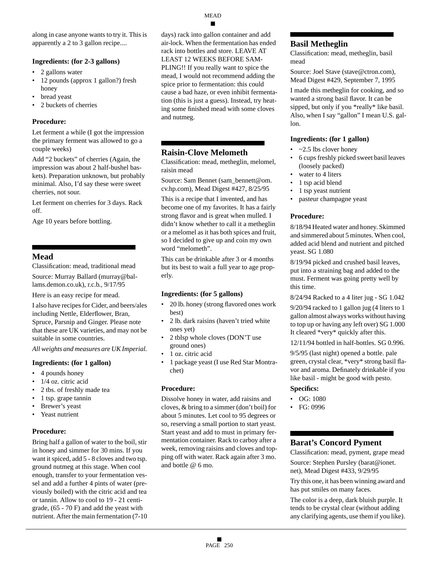along in case anyone wants to try it. This is apparently a 2 to 3 gallon recipe....

#### **Ingredients: (for 2-3 gallons)**

- 2 gallons water
- 12 pounds (approx 1 gallon?) fresh honey
- bread yeast
- 2 buckets of cherries

#### **Procedure:**

Let ferment a while (I got the impression the primary ferment was allowed to go a couple weeks)

Add "2 buckets" of cherries (Again, the impression was about 2 half-bushel baskets). Preparation unknown, but probably minimal. Also, I'd say these were sweet cherries, not sour.

Let ferment on cherries for 3 days. Rack off.

Age 10 years before bottling.

# **Mead**

Classification: mead, traditional mead

Source: Murray Ballard (murray@ballams.demon.co.uk), r.c.b., 9/17/95

Here is an easy recipe for mead.

I also have recipes for Cider, and beers/ales including Nettle, Elderflower, Bran, Spruce, Parsnip and Ginger. Please note that these are UK varieties, and may not be suitable in some countries.

*All weights and measures are UK Imperial.*

#### **Ingredients: (for 1 gallon)**

- 4 pounds honey
- 1/4 oz. citric acid
- 2 tbs. of freshly made tea
- 1 tsp. grape tannin
- Brewer's yeast
- Yeast nutrient

## **Procedure:**

Bring half a gallon of water to the boil, stir in honey and simmer for 30 mins. If you want it spiced, add 5 - 8 cloves and two tsp. ground nutmeg at this stage. When cool enough, transfer to your fermentation vessel and add a further 4 pints of water (previously boiled) with the citric acid and tea or tannin. Allow to cool to 19 - 21 centigrade, (65 - 70 F) and add the yeast with nutrient. After the main fermentation (7-10 days) rack into gallon container and add air-lock. When the fermentation has ended rack into bottles and store. LEAVE AT LEAST 12 WEEKS BEFORE SAM-PLING!! If you really want to spice the mead, I would not recommend adding the spice prior to fermentation: this could cause a bad haze, or even inhibit fermentation (this is just a guess). Instead, try heating some finished mead with some cloves and nutmeg.

# **Raisin-Clove Melometh**

Classification: mead, metheglin, melomel, raisin mead

Source: Sam Bennet (sam\_bennett@om. cv.hp.com), Mead Digest #427, 8/25/95

This is a recipe that I invented, and has become one of my favorites. It has a fairly strong flavor and is great when mulled. I didn't know whether to call it a metheglin or a melomel as it has both spices and fruit, so I decided to give up and coin my own word "melometh".

This can be drinkable after 3 or 4 months but its best to wait a full year to age properly.

#### **Ingredients: (for 5 gallons)**

- 20 lb. honey (strong flavored ones work best)
- 2 lb. dark raisins (haven't tried white ones yet)
- 2 tblsp whole cloves (DON'T use ground ones)
- 1 oz. citric acid
- 1 package yeast (I use Red Star Montrachet)

#### **Procedure:**

Dissolve honey in water, add raisins and cloves, & bring to a simmer (don't boil) for about 5 minutes. Let cool to 95 degrees or so, reserving a small portion to start yeast. Start yeast and add to must in primary fermentation container. Rack to carboy after a week, removing raisins and cloves and topping off with water. Rack again after 3 mo. and bottle @ 6 mo.

# **Basil Metheglin**

Classification: mead, metheglin, basil mead

Source: Joel Stave (stave@ctron.com), Mead Digest #429, September 7, 1995

I made this metheglin for cooking, and so wanted a strong basil flavor. It can be sipped, but only if you \*really\* like basil. Also, when I say "gallon" I mean U.S. gallon.

#### **Ingredients: (for 1 gallon)**

- $\cdot$  ~2.5 lbs clover honey
- 6 cups freshly picked sweet basil leaves (loosely packed)
- water to 4 liters
- 1 tsp acid blend
- 1 tsp yeast nutrient
- pasteur champagne yeast

## **Procedure:**

8/18/94 Heated water and honey. Skimmed and simmered about 5 minutes. When cool, added acid blend and nutrient and pitched yeast. SG 1.080

8/19/94 picked and crushed basil leaves, put into a straining bag and added to the must. Ferment was going pretty well by this time.

8/24/94 Racked to a 4 liter jug - SG 1.042

9/20/94 racked to 1 gallon jug (4 liters to 1 gallon almost always works without having to top up or having any left over) SG 1.000 It cleared \*very\* quickly after this.

12/11/94 bottled in half-bottles. SG 0.996.

9/5/95 (last night) opened a bottle. pale green, crystal clear, \*very\* strong basil flavor and aroma. Definately drinkable if you like basil - might be good with pesto.

#### **Specifics:**

- OG: 1080
- FG: 0996

# **Barat's Concord Pyment**

Classification: mead, pyment, grape mead Source: Stephen Pursley (barat@ionet. net), Mead Digest #433, 9/29/95

Try this one, it has been winning award and has put smiles on many faces.

The color is a deep, dark bluish purple. It tends to be crystal clear (without adding any clarifying agents, use them if you like).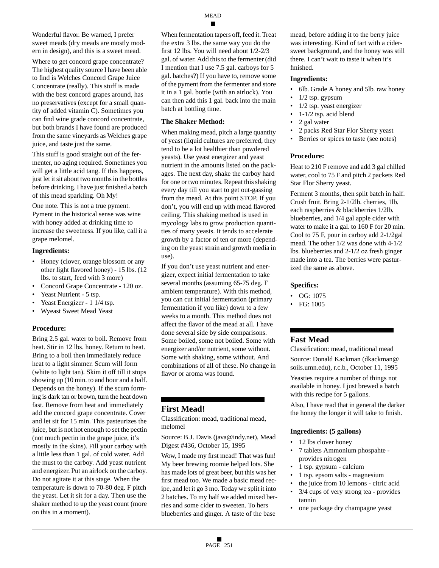Wonderful flavor. Be warned, I prefer sweet meads (dry meads are mostly modern in design), and this is a sweet mead.

Where to get concord grape concentrate? The highest quality source I have been able to find is Welches Concord Grape Juice Concentrate (really). This stuff is made with the best concord grapes around, has no preservatives (except for a small quantity of added vitamin C). Sometimes you can find wine grade concord concentrate, but both brands I have found are produced from the same vineyards as Welches grape juice, and taste just the same.

This stuff is good straight out of the fermenter, no aging required. Sometimes you will get a little acid tang. If this happens, just let it sit about two months in the bottles before drinking. I have just finished a batch of this mead sparkling. Oh My!

One note. This is not a true pyment. Pyment in the historical sense was wine with honey added at drinking time to increase the sweetness. If you like, call it a grape melomel.

#### **Ingredients:**

- Honey (clover, orange blossom or any other light flavored honey) - 15 lbs. (12 lbs. to start, feed with 3 more)
- Concord Grape Concentrate 120 oz.
- Yeast Nutrient 5 tsp.
- Yeast Energizer 1 1/4 tsp.
- Wyeast Sweet Mead Yeast

#### **Procedure:**

Bring 2.5 gal. water to boil. Remove from heat. Stir in 12 lbs. honey. Return to heat. Bring to a boil then immediately reduce heat to a light simmer. Scum will form (white to light tan). Skim it off till it stops showing up (10 min. to and hour and a half. Depends on the honey). If the scum forming is dark tan or brown, turn the heat down fast. Remove from heat and immediately add the concord grape concentrate. Cover and let sit for 15 min. This pasteurizes the juice, but is not hot enough to set the pectin (not much pectin in the grape juice, it's mostly in the skins). Fill your carboy with a little less than 1 gal. of cold water. Add the must to the carboy. Add yeast nutrient and energizer. Put an airlock on the carboy. Do not agitate it at this stage. When the temperature is down to 70-80 deg. F pitch the yeast. Let it sit for a day. Then use the shaker method to up the yeast count (more on this in a moment).

When fermentation tapers off, feed it. Treat the extra 3 lbs. the same way you do the first 12 lbs. You will need about 1/2-2/3 gal. of water. Add this to the fermenter (did I mention that I use 7.5 gal. carboys for 5 gal. batches?) If you have to, remove some of the pyment from the fermenter and store it in a 1 gal. bottle (with an airlock). You can then add this 1 gal. back into the main batch at bottling time.

#### **The Shaker Method:**

When making mead, pitch a large quantity of yeast (liquid cultures are preferred, they tend to be a lot healthier than powdered yeasts). Use yeast energizer and yeast nutrient in the amounts listed on the packages. The next day, shake the carboy hard for one or two minutes. Repeat this shaking every day till you start to get out-gassing from the mead. At this point STOP. If you don't, you will end up with mead flavored ceiling. This shaking method is used in mycology labs to grow production quantities of many yeasts. It tends to accelerate growth by a factor of ten or more (depending on the yeast strain and growth media in use).

If you don't use yeast nutrient and energizer, expect initial fermentation to take several months (assuming 65-75 deg. F ambient temperature). With this method, you can cut initial fermentation (primary fermentation if you like) down to a few weeks to a month. This method does not affect the flavor of the mead at all. I have done several side by side comparisons. Some boiled, some not boiled. Some with energizer and/or nutrient, some without. Some with shaking, some without. And combinations of all of these. No change in flavor or aroma was found.

#### **First Mead!**

Classification: mead, traditional mead, melomel

Source: B.J. Davis (java@indy.net), Mead Digest #436, October 15, 1995

Wow, I made my first mead! That was fun! My beer brewing roomie helped lots. She has made lots of great beer, but this was her first mead too. We made a basic mead recipe, and let it go 3 mo. Today we split it into 2 batches. To my half we added mixed berries and some cider to sweeten. To hers blueberries and ginger. A taste of the base

mead, before adding it to the berry juice was interesting. Kind of tart with a cidersweet background, and the honey was still there. I can't wait to taste it when it's finished.

#### **Ingredients:**

- 6lb. Grade A honey and 5lb. raw honey
- 1/2 tsp. gypsum
- $1/2$  tsp. yeast energizer
- 1-1/2 tsp. acid blend
- 2 gal water
- 2 packs Red Star Flor Sherry yeast
- Berries or spices to taste (see notes)

#### **Procedure:**

Heat to 210 F remove and add 3 gal chilled water, cool to 75 F and pitch 2 packets Red Star Flor Sherry yeast.

Ferment 3 months, then split batch in half. Crush fruit. Bring 2-1/2lb. cherries, 1lb. each raspberries & blackberries 1/2lb. blueberries, and 1/4 gal apple cider with water to make it a gal. to 160 F for 20 min. Cool to 75 F, pour in carboy add 2-1/2gal mead. The other 1/2 was done with 4-1/2 lbs. blueberries and 2-1/2 oz fresh ginger made into a tea. The berries were pasturized the same as above.

#### **Specifics:**

- OG: 1075
- FG: 1005

#### **Fast Mead**

Classification: mead, traditional mead Source: Donald Kackman (dkackman@ soils.umn.edu), r.c.b., October 11, 1995 Yeasties require a number of things not available in honey. I just brewed a batch with this recipe for 5 gallons.

Also, I have read that in general the darker the honey the longer it will take to finish.

#### **Ingredients: (5 gallons)**

- 12 lbs clover honey
- 7 tablets Ammonium phospahte provides nitrogen
- 1 tsp. gypsum calcium
- 1 tsp. epsom salts magnesium
- the juice from 10 lemons citric acid • 3/4 cups of very strong tea - provides tannin
- one package dry champagne yeast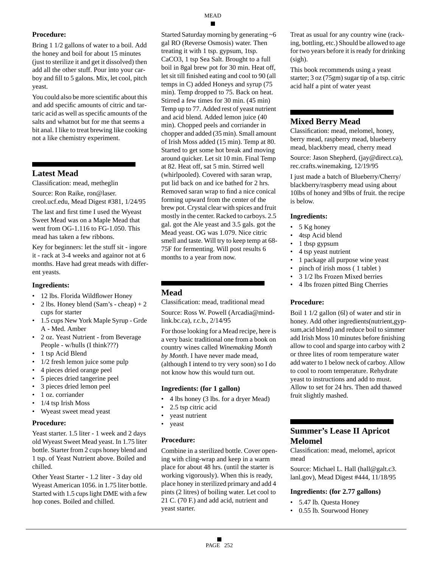Bring 1 1/2 gallons of water to a boil. Add the honey and boil for about 15 minutes (just to sterilize it and get it dissolved) then add all the other stuff. Pour into your carboy and fill to 5 galons. Mix, let cool, pitch yeast.

You could also be more scientific about this and add specific amounts of citric and tartaric acid as well as specific amounts of the salts and whatnot but for me that seems a bit anal. I like to treat brewing like cooking not a like chemistry experiment.

# **Latest Mead**

Classification: mead, metheglin

Source: Ron Raike, ron@laser. creol.ucf.edu, Mead Digest #381, 1/24/95

The last and first time I used the Wyeast Sweet Mead was on a Maple Mead that went from OG-1.116 to FG-1.050. This mead has taken a few ribbons.

Key for beginners: let the stuff sit - ingore it - rack at 3-4 weeks and againor not at 6 months. Have had great meads with different yeasts.

#### **Ingredients:**

- 12 lbs. Florida Wildflower Honey
- 2 lbs. Honey blend  $(Sam's cheap) + 2$ cups for starter
- 1.5 cups New York Maple Syrup Grde A - Med. Amber
- 2 oz. Yeast Nutrient from Beverage People - w/hulls (I think???)
- 1 tsp Acid Blend
- 1/2 fresh lemon juice some pulp
- 4 pieces dried orange peel
- 5 pieces dried tangerine peel
- 3 pieces dried lemon peel
- 1 oz. corriander
- 1/4 tsp Irish Moss
- Wyeast sweet mead yeast

#### **Procedure:**

Yeast starter. 1.5 liter - 1 week and 2 days old Wyeast Sweet Mead yeast. In 1.75 liter bottle. Starter from 2 cups honey blend and 1 tsp. of Yeast Nutrient above. Boiled and chilled.

Other Yeast Starter - 1.2 liter - 3 day old Wyeast American 1056. in 1.75 liter bottle. Started with 1.5 cups light DME with a few hop cones. Boiled and chilled.

Started Saturday morning by generating ~6 gal RO (Reverse Osmosis) water. Then treating it with 1 tsp. gypsum, 1tsp. CaCO3, 1 tsp Sea Salt. Brought to a full boil in 8gal brew pot for 30 min. Heat off, let sit till finished eating and cool to 90 (all temps in C) added Honeys and syrup (75 min). Temp dropped to 75. Back on heat. Stirred a few times for 30 min. (45 min) Temp up to 77. Added rest of yeast nutrient and acid blend. Added lemon juice (40 min). Chopped peels and corriander in chopper and added (35 min). Small amount of Irish Moss added (15 min). Temp at 80. Started to get some hot break and moving around quicker. Let sit 10 min. Final Temp at 82. Heat off, sat 5 min. Stirred well (whirlpooled). Covered with saran wrap, put lid back on and ice bathed for 2 hrs. Removed saran wrap to find a nice conical forming upward from the center of the brew pot. Crystal clear with spices and fruit mostly in the center. Racked to carboys. 2.5 gal. got the Ale yeast and 3.5 gals. got the Mead yeast. OG was 1.079. Nice citric smell and taste. Will try to keep temp at 68- 75F for fermenting. Will post results 6 months to a year from now.

# **Mead**

Classification: mead, traditional mead

Source: Ross W. Powell (Arcadia@mindlink.bc.ca), r.c.b., 2/14/95

For those looking for a Mead recipe, here is a very basic traditional one from a book on country wines called *Winemaking Month by Month*. I have never made mead, (although I intend to try very soon) so I do not know how this would turn out.

#### **Ingredients: (for 1 gallon)**

- 4 lbs honey (3 lbs. for a dryer Mead)
- 2.5 tsp citric acid
- yeast nutrient
- yeast

## **Procedure:**

Combine in a sterilized bottle. Cover opening with cling-wrap and keep in a warm place for about 48 hrs. (until the starter is working vigorously). When this is ready, place honey in sterilized primary and add 4 pints (2 litres) of boiling water. Let cool to 21 C. (70 F.) and add acid, nutrient and yeast starter.

Treat as usual for any country wine (racking, bottling, etc.) Should be allowed to age for two years before it is ready for drinking (sigh).

This book recommends using a yeast starter; 3 oz (75gm) sugar tip of a tsp. citric acid half a pint of water yeast

## **Mixed Berry Mead**

Classification: mead, melomel, honey, berry mead, raspberry mead, blueberry mead, blackberry mead, cherry mead

Source: Jason Shepherd, (jay@direct.ca), rec.crafts.winemaking, 12/19/95

I just made a batch of Blueberry/Cherry/ blackberry/raspberry mead using about 10lbs of honey and 9lbs of fruit. the recipe is below.

#### **Ingredients:**

- 5 Kg honey
- 4tsp Acid blend
- 1 tbsp gypsum
- 4 tsp yeast nutrient
- 1 package all purpose wine yeast
- pinch of irish moss ( 1 tablet )
- 3 1/2 lbs Frozen Mixed berries
- 4 lbs frozen pitted Bing Cherries

#### **Procedure:**

Boil 1 1/2 gallon (6l) of water and stir in honey. Add other ingredients(nutrient,gypsum,acid blend) and reduce boil to simmer add Irish Moss 10 minutes before finishing allow to cool and sparge into carboy with 2 or three lites of room temperature water add water to 1 below neck of carboy. Allow to cool to room temperature. Rehydrate yeast to instructions and add to must. Allow to set for 24 hrs. Then add thawed fruit slightly mashed.

# **Summer's Lease II Apricot Melomel**

Classification: mead, melomel, apricot mead

Source: Michael L. Hall (hall@galt.c3. lanl.gov), Mead Digest #444, 11/18/95

#### **Ingredients: (for 2.77 gallons)**

- 5.47 lb. Questa Honey
- 0.55 lb. Sourwood Honey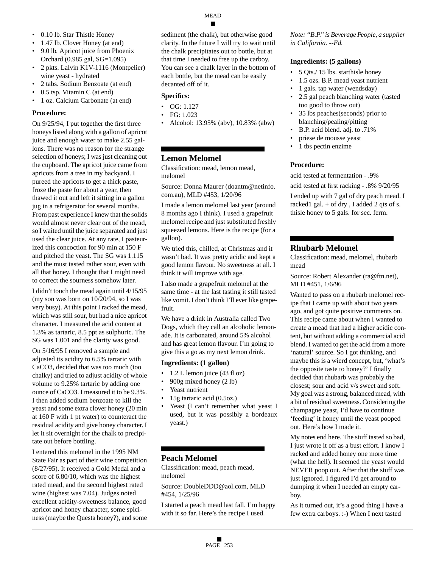- 
- 0.10 lb. Star Thistle Honey • 1.47 lb. Clover Honey (at end)
- 9.0 lb. Apricot juice from Phoenix Orchard (0.985 gal, SG=1.095)
- 2 pkts. Lalvin K1V-1116 (Montpelier) wine yeast - hydrated
- 2 tabs. Sodium Benzoate (at end)
- 0.5 tsp. Vitamin C (at end)
- 1 oz. Calcium Carbonate (at end)

On 9/25/94, I put together the first three honeys listed along with a gallon of apricot juice and enough water to make 2.55 gallons. There was no reason for the strange selection of honeys; I was just cleaning out the cupboard. The apricot juice came from apricots from a tree in my backyard. I pureed the apricots to get a thick paste, froze the paste for about a year, then thawed it out and left it sitting in a gallon jug in a refrigerator for several months. From past experience I knew that the solids would almost never clear out of the mead, so I waited until the juice separated and just used the clear juice. At any rate, I pasteurized this concoction for 90 min at 150 F and pitched the yeast. The SG was 1.115 and the must tasted rather sour, even with all that honey. I thought that I might need to correct the sourness somehow later.

I didn't touch the mead again until 4/15/95 (my son was born on 10/20/94, so I was very busy). At this point I racked the mead, which was still sour, but had a nice apricot character. I measured the acid content at 1.3% as tartaric, 8.5 ppt as sulphuric. The SG was 1.001 and the clarity was good.

On 5/16/95 I removed a sample and adjusted its acidity to 6.5% tartaric with CaCO3, decided that was too much (too chalky) and tried to adjust acidity of whole volume to 9.25% tartaric by adding one ounce of CaCO3. I measured it to be 9.3%. I then added sodium benzoate to kill the yeast and some extra clover honey (20 min at 160 F with 1 pt water) to counteract the residual acidity and give honey character. I let it sit overnight for the chalk to precipitate out before bottling.

I entered this melomel in the 1995 NM State Fair as part of their wine competition (8/27/95). It received a Gold Medal and a score of 6.80/10, which was the highest rated mead, and the second highest rated wine (highest was 7.04). Judges noted excellent acidity-sweetness balance, good apricot and honey character, some spiciness (maybe the Questa honey?), and some sediment (the chalk), but otherwise good clarity. In the future I will try to wait until the chalk precipitates out to bottle, but at that time I needed to free up the carboy. You can see a chalk layer in the bottom of each bottle, but the mead can be easily decanted off of it.

## **Specifics:**

- OG: 1.127
- FG: 1.023
- Alcohol: 13.95% (abv), 10.83% (abw)

# **Lemon Melomel**

Classification: mead, lemon mead, melomel

Source: Donna Maurer (doantm@netinfo. com.au), MLD #453, 1/20/96

I made a lemon melomel last year (around 8 months ago I think). I used a grapefruit melomel recipe and just substituted freshly squeezed lemons. Here is the recipe (for a gallon).

We tried this, chilled, at Christmas and it wasn't bad. It was pretty acidic and kept a good lemon flavour. No sweetness at all. I think it will improve with age.

I also made a grapefruit melomel at the same time - at the last tasting it still tasted like vomit. I don't think I'll ever like grapefruit.

We have a drink in Australia called Two Dogs, which they call an alcoholic lemonade. It is carbonated, around 5% alcohol and has great lemon flavour. I'm going to give this a go as my next lemon drink.

## **Ingredients: (1 gallon)**

- 1.2 L lemon juice (43 fl oz)
- 900g mixed honey (2 lb)
- Yeast nutrient
- 15g tartaric acid (0.5oz.)
- Yeast (I can't remember what yeast I used, but it was possibly a bordeaux yeast.)

# **Peach Melomel**

Classification: mead, peach mead, melomel

Source: DoubleDDD@aol.com, MLD #454, 1/25/96

I started a peach mead last fall. I'm happy with it so far. Here's the recipe I used.

*Note: "B.P." is Beverage People, a supplier in California. --Ed.*

# **Ingredients: (5 gallons)**

- 5 Qts./ 15 lbs. starthisle honey
- 1.5 ozs. B.P. mead yeast nutrient
- 1 gals. tap water (wendsday)
- 2.5 gal peach blanching water (tasted too good to throw out)
- 35 lbs peaches(seconds) prior to blanching/pealing/pitting
- B.P. acid blend. adj. to .71%
- priese de mousse yeast
- 1 tbs pectin enzime

## **Procedure:**

acid tested at fermentation - .9%

acid tested at first racking - .8% 9/20/95

I ended up with 7 gal of dry peach mead. I racked1 gal. + of dry , I added 2 qts of s. thisle honey to 5 gals. for sec. ferm.

# **Rhubarb Melomel**

Classification: mead, melomel, rhubarb mead

Source: Robert Alexander (ra@ftn.net), MLD #451, 1/6/96

Wanted to pass on a rhubarb melomel recipe that I came up with about two years ago, and got quite positive comments on. This recipe came about when I wanted to create a mead that had a higher acidic content, but without adding a commercial acid blend. I wanted to get the acid from a more 'natural' source. So I got thinking, and maybe this is a wierd concept, but, 'what's the opposite taste to honey?' I finally decided that rhubarb was probably the closest; sour and acid v/s sweet and soft. My goal was a strong, balanced mead, with a bit of residual sweetness. Considering the champagne yeast, I'd have to continue 'feeding' it honey until the yeast pooped out. Here's how I made it.

My notes end here. The stuff tasted so bad, I just wrote it off as a bust effort. I know I racked and added honey one more time (what the hell). It seemed the yeast would NEVER poop out. After that the stuff was just ignored. I figured I'd get around to dumping it when I needed an empty carboy.

As it turned out, it's a good thing I have a few extra carboys. :-) When I next tasted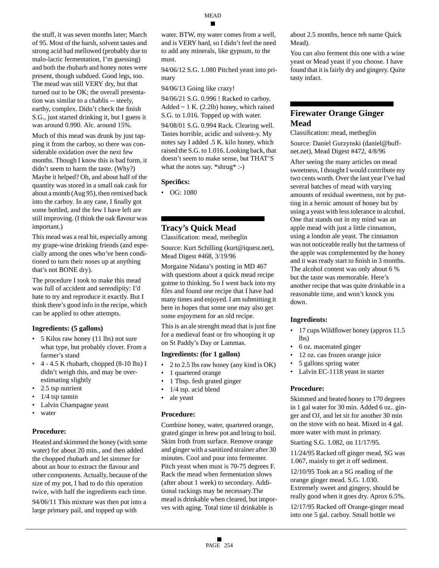the stuff, it was seven months later; March of 95. Most of the harsh, solvent tastes and strong acid had mellowed (probably due to malo-lactic fermentation, I'm guessing) and both the rhubarb and honey notes were present, though subdued. Good legs, too. The mead was still VERY dry, but that turned out to be OK; the overall presentation was similar to a chablis -- steely, earthy, complex. Didn't check the finish S.G., just started drinking it, but I guess it was around 0.990. Alc. around 15%.

Much of this mead was drunk by just tapping it from the carboy, so there was considerable oxidation over the next few months. Though I know this is bad form, it didn't seem to harm the taste. (Why?) Maybe it helped? Oh, and about half of the quantity was stored in a small oak cask for about a month (Aug 95), then remixed back into the carboy. In any case, I finally got some bottled, and the few I have left are still improving. (I think the oak flavour was important.)

This mead was a real hit, especially among my grape-wine drinking friends (and especially among the ones who've been conditioned to turn their noses up at anything that's not BONE dry).

The procedure I took to make this mead was full of accident and serendipity: I'd hate to try and reproduce it exactly. But I think there's good info in the recipe, which can be applied to other attempts.

#### **Ingredients: (5 gallons)**

- 5 Kilos raw honey (11 lbs) not sure what type, but probably clover. From a farmer's stand
- $\bullet$  4 4.5 K rhubarb, chopped (8-10 lbs) I didn't weigh this, and may be overestimating slightly
- 2.5 tsp nutrient
- $1/4$  tsp tannin
- Lalvin Champagne yeast
- water

#### **Procedure:**

Heated and skimmed the honey (with some water) for about 20 min., and then added the chopped rhubarb and let simmer for about an hour to extract the flavour and other components. Actually, because of the size of my pot, I had to do this operation twice, with half the ingredients each time.

94/06/11 This mixture was then put into a large primary pail, and topped up with

water. BTW, my water comes from a well, and is VERY hard, so I didn't feel the need to add any minerals, like gypsum, to the must.

94/06/12 S.G. 1.080 Pitched yeast into primary

94/06/13 Going like crazy!

94/06/21 S.G. 0.996 ! Racked to carboy. Added  $\sim$  1 K. (2.2lb) honey, which raised S.G. to 1.016. Topped up with water.

94/08/01 S.G. 0.994 Rack. Clearing well. Tastes horrible, acidic and solvent-y. My notes say I added .5 K. kilo honey, which raised the S.G. to 1.016. Looking back, that doesn't seem to make sense, but THAT'S what the notes say. \*shrug\* :-)

#### **Specifics:**

• OG: 1080

## **Tracy's Quick Mead**

Classification: mead, metheglin

Source: Kurt Schilling (kurt@iquest.net), Mead Digest #468, 3/19/96

Morgaine Nidana's posting in MD 467 with questions about a quick mead recipe gotme to thinking. So I went back into my files and found one recipe that I have had many times and enjoyed. I am submitting it here in hopes that some one may also get some enjoyment for an old recipe.

This is an ale strenght mead that is just fine for a medieval feast or fro whooping it up on St Paddy's Day or Lammas.

#### **Ingredients: (for 1 gallon)**

- 2 to 2.5 lbs raw honey (any kind is OK)
- 1 quartered orange
- 1 Tbsp. fesh grated ginger
- 1/4 tsp. acid blend
- ale yeast

#### **Procedure:**

Combine honey, water, quartered orange, grated ginger in brew pot and bring to boil. Skim froth from surface. Remove orange and ginger with a sanitized strainer after 30 minutes. Cool and pour into fermenter. Pitch yeast when must is 70-75 degrees F. Rack the mead when fermentation slows (after about 1 week) to secondary. Additional rackings may be necessary.The mead is drinkable when cleared, but imporves with aging. Total time til drinkable is

about 2.5 months, hence teh name Quick Mead).

You can also ferment this one with a wine yeast or Mead yeast if you choose. I have found that it is fairly dry and gingery. Quite tasty infact.

## **Firewater Orange Ginger Mead**

Classification: mead, metheglin Source: Daniel Gurzynski (daniel@buffnet.net), Mead Digest #472, 4/8/96

After seeing the many articles on mead sweetness, I thought I would contribute my two cents worth. Over the last year I've had several batches of mead with varying amounts of residual sweetness, not by putting in a heroic amount of honey but by using a yeast with less tolerance to alcohol. One that stands out in my mind was an apple mead with just a little cinnamon, using a london ale yeast. The cinnamon was not noticeable really but the tartness of the apple was complemented by the honey and it was ready start to finish in 3 months. The alcohol content was only about 6 % but the taste was memorable. Here's another recipe that was quite drinkable in a reasonable time, and won't knock you down.

#### **Ingredients:**

- 17 cups Wildflower honey (approx 11.5 lbs)
- 6 oz. macerated ginger
- 12 oz. can frozen orange juice
- 5 gallons spring water
- Lalvin EC-1118 yeast in starter

#### **Procedure:**

Skimmed and heated honey to 170 degrees in 1 gal water for 30 min. Added 6 oz.. ginger and OJ, and let sit for another 30 min on the stove with no heat. Mixed in 4 gal. more water with must in primary.

Starting S.G. 1.082, on 11/17/95.

11/24/95 Racked off ginger mead, SG was 1.067, mainly to get it off sediment.

12/10/95 Took an a SG reading of the orange ginger mead. S.G. 1.030.

Extremely sweet and gingery, should be really good when it goes dry. Aprox 6.5%.

12/17/95 Racked off Orange-ginger mead into one 5 gal. carboy. Small bottle we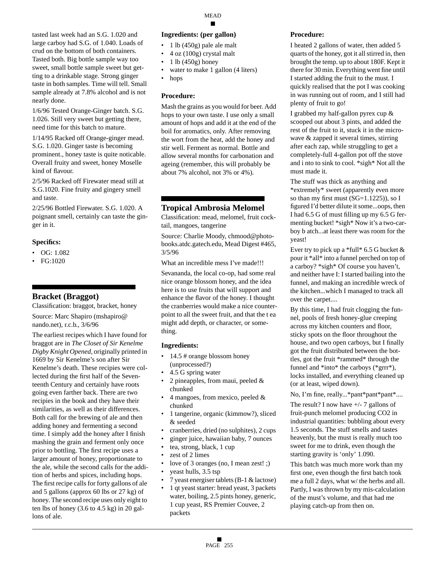tasted last week had an S.G. 1.020 and large carboy had S.G. of 1.040. Loads of crud on the bottom of both containers. Tasted both. Big bottle sample way too sweet, small bottle sample sweet but getting to a drinkable stage. Strong ginger taste in both samples. Time will tell. Small sample already at 7.8% alcohol and is not nearly done.

1/6/96 Tested Orange-Ginger batch. S.G. 1.026. Still very sweet but getting there, need time for this batch to mature.

1/14/95 Racked off Orange-ginger mead. S.G. 1.020. Ginger taste is becoming prominent., honey taste is quite noticable. Overall fruity and sweet, honey Moselle kind of flavour.

2/5/96 Racked off Firewater mead still at S.G.1020. Fine fruity and gingery smell and taste.

2/25/96 Bottled Firewater. S.G. 1.020. A poignant smell, certainly can taste the ginger in it.

#### **Specifics:**

- OG: 1.082
- FG:1020

## **Bracket (Braggot)**

Classification: braggot, bracket, honey Source: Marc Shapiro (mshapiro@ nando.net), r.c.b., 3/6/96

The earliest recipes which I have found for braggot are in *The Closet of Sir Kenelme Digby Knight Opened*, originally printed in 1669 by Sir Kenelme's son after Sir Kenelme's death. These recipies were collected during the first half of the Seventeenth Century and certainly have roots going even farther back. There are two recipies in the book and they have their similarities, as well as their differences. Both call for the brewing of ale and then adding honey and fermenting a second time. I simply add the honey after I finish mashing the grain and ferment only once prior to bottling. The first recipe uses a larger amount of honey, proportionate to the ale, while the second calls for the addition of herbs and spices, including hops. The first recipe calls for forty gallons of ale and 5 gallons (approx 60 lbs or 27 kg) of honey. The second recipe uses only eight to ten lbs of honey (3.6 to 4.5 kg) in 20 gallons of ale.

#### **Ingredients: (per gallon)**

- 1 lb (450g) pale ale malt
- 4 oz (100g) crystal malt
- $\cdot$  1 lb (450g) honey
- water to make 1 gallon (4 liters)
- hops

#### **Procedure:**

Mash the grains as you would for beer. Add hops to your own taste. I use only a small amount of hops and add it at the end of the boil for aromatics, only. After removing the wort from the heat, add the honey and stir well. Ferment as normal. Bottle and allow several months for carbonation and ageing (remember, this will probably be about 7% alcohol, not 3% or 4%).

# **Tropical Ambrosia Melomel**

Classification: mead, melomel, fruit cocktail, mangoes, tangerine

Source: Charlie Moody, chmood@photobooks.atdc.gatech.edu, Mead Digest #465, 3/5/96

What an incredible mess I've made!!!

Sevananda, the local co-op, had some real nice orange blossom honey, and the idea here is to use fruits that will support and enhance the flavor of the honey. I thought the cranberries would make a nice counterpoint to all the sweet fruit, and that the t ea might add depth, or character, or something.

#### **Ingredients:**

- 14.5 # orange blossom honey (unprocessed?)
- 4.5 G spring water
- 2 pineapples, from maui, peeled & chunked
- 4 mangoes, from mexico, peeled  $\&$ chunked
- 1 tangerine, organic (kimmow?), sliced & seeded
- cranberries, dried (no sulphites), 2 cups
- ginger juice, hawaiian baby, 7 ounces
- tea, strong, black, 1 cup
- zest of 2 limes
- love of 3 oranges (no, I mean zest! ;)
- yeast hulls, 3.5 tsp
- 7 yeast energiser tablets (B-1 & lactose)
- 1 qt yeast starter: bread yeast, 3 packets water, boiling, 2.5 pints honey, generic, 1 cup yeast, RS Premier Couvee, 2 packets

#### **Procedure:**

I heated 2 gallons of water, then added 5 quarts of the honey, got it all stirred in, then brought the temp. up to about 180F. Kept it there for 30 min. Everything went fine until I started adding the fruit to the must. I quickly realised that the pot I was cooking in was running out of room, and I still had plenty of fruit to go!

I grabbed my half-gallon pyrex cup & scooped out about 3 pints, and added the rest of the fruit to it, stuck it in the microwave & zapped it several times, stirring after each zap, while struggling to get a completely-full 4-gallon pot off the stove and i nto to sink to cool. \*sigh\* Not all the must made it.

The stuff was thick as anything and \*extremely\* sweet (apparently even more so than my first must  $(SG=1.1225)$ , so I figured I'd better dilute it some...oops, then I had 6.5 G of must filling up my 6.5 G fermenting bucket! \*sigh\* Now it's a two-carboy b atch...at least there was room for the yeast!

Ever try to pick up a \*full\* 6.5 G bucket  $&$ pour it \*all\* into a funnel perched on top of a carboy? \*sigh\* Of course you haven't, and neither have I: I started bailing into the funnel, and making an incredible wreck of the kitchen...which I managed to track all over the carpet....

By this time, I had fruit clogging the funnel, pools of fresh honey-glue creeping across my kitchen counters and floor, sticky spots on the floor throughout the house, and two open carboys, but I finally got the fruit distributed between the bottles, got the fruit \*rammed\* through the funnel and \*into\* the carboys (\*grrr\*), locks installed, and everything cleaned up (or at least, wiped down).

No, I'm fine, really...\*pant\*pant\*pant\*....

The result? I now have  $+/- 7$  gallons of fruit-punch melomel producing CO2 in industrial quantities: bubbling about every 1.5 seconds. The stuff smells and tastes heavenly, but the must is really much too sweet for me to drink, even though the starting gravity is 'only' 1.090.

This batch was much more work than my first one, even though the first batch took me a full 2 days, what w/ the herbs and all. Partly, I was thrown by my mis-calculation of the must's volume, and that had me playing catch-up from then on.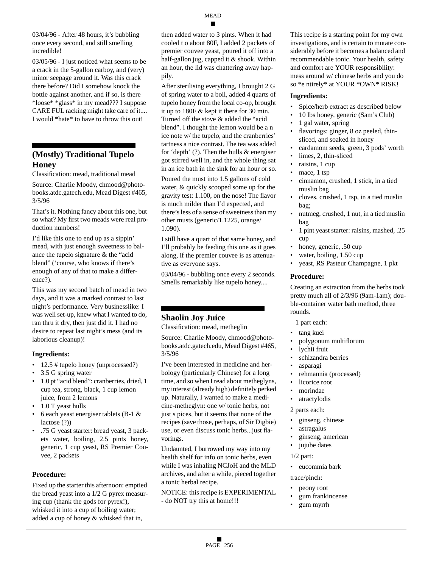03/05/96 - I just noticed what seems to be a crack in the 5-gallon carboy, and (very) minor seepage around it. Was this crack there before? Did I somehow knock the bottle against another, and if so, is there \*loose\* \*glass\* in my mead??? I suppose CARE FUL racking might take care of it.... I would \*hate\* to have to throw this out!

# **(Mostly) Traditional Tupelo Honey**

Classification: mead, traditional mead

Source: Charlie Moody, chmood@photobooks.atdc.gatech.edu, Mead Digest #465, 3/5/96

That's it. Nothing fancy about this one, but so what? My first two meads were real production numbers!

I'd like this one to end up as a sippin' mead, with just enough sweetness to balance the tupelo signature & the "acid blend" ('course, who knows if there's enough of any of that to make a difference?).

This was my second batch of mead in two days, and it was a marked contrast to last night's performance. Very businesslike: I was well set-up, knew what I wanted to do, ran thru it dry, then just did it. I had no desire to repeat last night's mess (and its laborious cleanup)!

#### **Ingredients:**

- 12.5 # tupelo honey (unprocessed?)
- 3.5 G spring water
- 1.0 pt "acid blend": cranberries, dried, 1 cup tea, strong, black, 1 cup lemon juice, from 2 lemons
- 1.0 T yeast hulls
- 6 each yeast energiser tablets (B-1  $\&$ lactose (?))
- .75 G yeast starter: bread yeast, 3 packets water, boiling, 2.5 pints honey, generic, 1 cup yeast, RS Premier Couvee, 2 packets

#### **Procedure:**

Fixed up the starter this afternoon: emptied the bread yeast into a 1/2 G pyrex measuring cup (thank the gods for pyrex!), whisked it into a cup of boiling water; added a cup of honey & whisked that in,

an hour, the lid was chattering away hap-

MEAD

pily. After sterilising everything, I brought 2 G of spring water to a boil, added 4 quarts of tupelo honey from the local co-op, brought it up to 180F & kept it there for 30 min. Turned off the stove & added the "acid blend". I thought the lemon would be a n ice note w/ the tupelo, and the cranberries' tartness a nice contrast. The tea was added for 'depth' (?). Then the hulls & energiser got stirred well in, and the whole thing sat in an ice bath in the sink for an hour or so.

Poured the must into 1.5 gallons of cold water, & quickly scooped some up for the gravity test: 1.100, on the nose! The flavor is much milder than I'd expected, and there's less of a sense of sweetness than my other musts (generic/1.1225, orange/ 1.090).

I still have a quart of that same honey, and I'll probably be feeding this one as it goes along, if the premier couvee is as attenuative as everyone says.

03/04/96 - bubbling once every 2 seconds. Smells remarkably like tupelo honey....

# **Shaolin Joy Juice**

Classification: mead, metheglin

Source: Charlie Moody, chmood@photobooks.atdc.gatech.edu, Mead Digest #465, 3/5/96

I've been interested in medicine and herbology (particularly Chinese) for a long time, and so when I read about metheglyns, my interest (already high) definitely perked up. Naturally, I wanted to make a medicine-metheglyn: one w/ tonic herbs, not just s pices, but it seems that none of the recipes (save those, perhaps, of Sir Digbie) use, or even discuss tonic herbs...just flavorings.

Undaunted, I burrowed my way into my health shelf for info on tonic herbs, even while I was inhaling NCJoH and the MLD archives, and after a while, pieced together a tonic herbal recipe.

NOTICE: this recipe is EXPERIMENTAL - do NOT try this at home!!!

This recipe is a starting point for my own investigations, and is certain to mutate considerably before it becomes a balanced and recommendable tonic. Your health, safety and comfort are YOUR responsibility: mess around w/ chinese herbs and you do so \*e ntirely\* at YOUR \*OWN\* RISK!

#### **Ingredients:**

- Spice/herb extract as described below
- 10 lbs honey, generic (Sam's Club)
- 1 gal water, spring
- flavorings: ginger, 8 oz peeled, thinsliced, and soaked in honey
- cardamom seeds, green, 3 pods' worth
- limes, 2, thin-sliced
- raisins, 1 cup
- mace, 1 tsp
- cinnamon, crushed, 1 stick, in a tied muslin bag
- cloves, crushed, 1 tsp, in a tied muslin bag;
- nutmeg, crushed, 1 nut, in a tied muslin bag
- 1 pint yeast starter: raisins, mashed, .25 cup
- honey, generic, .50 cup
- water, boiling, 1.50 cup
- yeast, RS Pasteur Champagne, 1 pkt

#### **Procedure:**

Creating an extraction from the herbs took pretty much all of 2/3/96 (9am-1am); double-container water bath method, three rounds.

1 part each:

- tang kuei
- polygonum multiflorum
- lychii fruit
- schizandra berries
- asparagi
- rehmannia (processed)
- licorice root
- morindae
- atractylodis

2 parts each:

- ginseng, chinese
- astragalus
- ginseng, american
- jujube dates

#### 1/2 part:

• eucommia bark

#### trace/pinch:

- peony root
- gum frankincense
- gum myrrh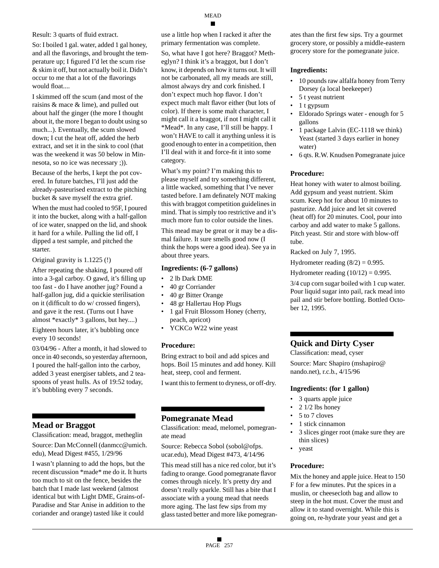Result: 3 quarts of fluid extract.

So: I boiled 1 gal. water, added 1 gal honey, and all the flavorings, and brought the temperature up; I figured I'd let the scum rise & skim it off, but not actually boil it. Didn't occur to me that a lot of the flavorings would float....

I skimmed off the scum (and most of the raisins & mace & lime), and pulled out about half the ginger (the more I thought about it, the more I began to doubt using so much...). Eventually, the scum slowed down; I cut the heat off, added the herb extract, and set it in the sink to cool (that was the weekend it was 50 below in Minnesota, so no ice was necessary ;)).

Because of the herbs, I kept the pot covered. In future batches, I'll just add the already-pasteurised extract to the pitching bucket & save myself the extra grief.

When the must had cooled to 95F, I poured it into the bucket, along with a half-gallon of ice water, snapped on the lid, and shook it hard for a while. Pulling the lid off, I dipped a test sample, and pitched the starter.

Original gravity is 1.1225 (!)

After repeating the shaking, I poured off into a 3-gal carboy. O gawd, it's filling up too fast - do I have another jug? Found a half-gallon jug, did a quickie sterilisation on it (difficult to do w/ crossed fingers), and gave it the rest. (Turns out I have almost \*exactly\* 3 gallons, but hey....)

Eighteen hours later, it's bubbling once every 10 seconds!

03/04/96 - After a month, it had slowed to once in 40 seconds, so yesterday afternoon, I poured the half-gallon into the carboy, added 3 yeast energiser tablets, and 2 teaspoons of yeast hulls. As of 19:52 today, it's bubbling every 7 seconds.

# **Mead or Braggot**

Classification: mead, braggot, metheglin

Source: Dan McConnell (danmcc@umich. edu), Mead Digest #455, 1/29/96

I wasn't planning to add the hops, but the recent discussion \*made\* me do it. It hurts too much to sit on the fence, besides the batch that I made last weekend (almost identical but with Light DME, Grains-of-Paradise and Star Anise in addition to the coriander and orange) tasted like it could

use a little hop when I racked it after the primary fermentation was complete.

So, what have I got here? Braggot? Metheglyn? I think it's a braggot, but I don't know, it depends on how it turns out. It will not be carbonated, all my meads are still, almost always dry and cork finished. I don't expect much hop flavor. I don't expect much malt flavor either (but lots of color). If there is some malt character, I might call it a braggot, if not I might call it \*Mead\*. In any case, I'll still be happy. I won't HAVE to call it anything unless it is good enough to enter in a competition, then I'll deal with it and force-fit it into some category.

What's my point? I'm making this to please myself and try something different, a little wacked, something that I've never tasted before. I am definately NOT making this with braggot competition guidelines in mind. That is simply too restrictive and it's much more fun to color outside the lines.

This mead may be great or it may be a dismal failure. It sure smells good now (I think the hops were a good idea). See ya in about three years.

#### **Ingredients: (6-7 gallons)**

- 2 lb Dark DME
- 40 gr Corriander
- 40 gr Bitter Orange
- 48 gr Hallertau Hop Plugs
- 1 gal Fruit Blossom Honey (cherry, peach, apricot)
- YCKCo W22 wine yeast

#### **Procedure:**

Bring extract to boil and add spices and hops. Boil 15 minutes and add honey. Kill heat, steep, cool and ferment.

I want this to ferment to dryness, or off-dry.

# **Pomegranate Mead**

Classification: mead, melomel, pomegranate mead

Source: Rebecca Sobol (sobol@ofps. ucar.edu), Mead Digest #473, 4/14/96

This mead still has a nice red color, but it's fading to orange. Good pomegranate flavor comes through nicely. It's pretty dry and doesn't really sparkle. Still has a bite that I associate with a young mead that needs more aging. The last few sips from my glass tasted better and more like pomegranates than the first few sips. Try a gourmet grocery store, or possibly a middle-eastern grocery store for the pomegranate juice.

#### **Ingredients:**

- 10 pounds raw alfalfa honey from Terry Dorsey (a local beekeeper)
- 5 t yeast nutrient
- 1 t gypsum
- Eldorado Springs water enough for 5 gallons
- 1 package Lalvin (EC-1118 we think) Yeast (started 3 days earlier in honey water)
- 6 qts. R.W. Knudsen Pomegranate juice

# **Procedure:**

Heat honey with water to almost boiling. Add gypsum and yeast nutrient. Skim scum. Keep hot for about 10 minutes to pasturize. Add juice and let sit covered (heat off) for 20 minutes. Cool, pour into carboy and add water to make 5 gallons. Pitch yeast. Stir and store with blow-off tube.

Racked on July 7, 1995.

Hydrometer reading  $(8/2) = 0.995$ .

Hydrometer reading  $(10/12) = 0.995$ .

3/4 cup corn sugar boiled with 1 cup water. Pour liquid sugar into pail, rack mead into pail and stir before bottling. Bottled October 12, 1995.

# **Quick and Dirty Cyser**

Classification: mead, cyser

Source: Marc Shapiro (mshapiro@ nando.net), r.c.b., 4/15/96

## **Ingredients: (for 1 gallon)**

- 3 quarts apple juice
- 2  $1/2$  lbs honey
- 5 to 7 cloves
- 1 stick cinnamon
- 3 slices ginger root (make sure they are thin slices)
- yeast

# **Procedure:**

Mix the honey and apple juice. Heat to 150 F for a few minutes. Put the spices in a muslin, or cheesecloth bag and allow to steep in the hot must. Cover the must and allow it to stand overnight. While this is going on, re-hydrate your yeast and get a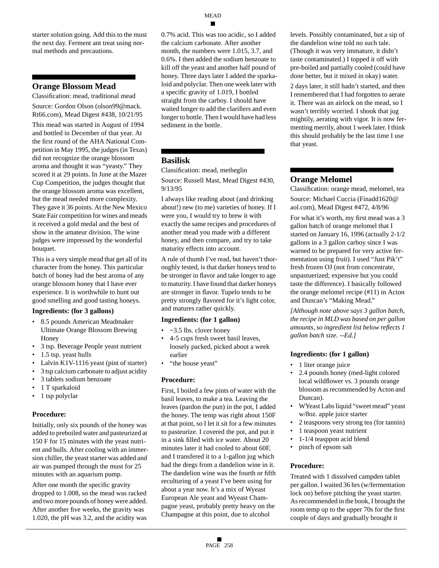starter solution going. Add this to the must the next day. Ferment ant treat using normal methods and precautions.

#### **Orange Blossom Mead**

Classification: mead, traditional mead

Source: Gordon Olson (olson99@mack. Rt66.com), Mead Digest #438, 10/21/95

This mead was started in August of 1994 and bottled in December of that year. At the first round of the AHA National Competition in May 1995, the judges (in Texas) did not recognize the orange blossom aroma and thought it was "yeasty." They scored it at 29 points. In June at the Mazer Cup Competition, the judges thought that the orange blossom aroma was excellent, but the mead needed more complexity. They gave it 36 points. At the New Mexico State Fair competition for wines and meads it received a gold medal and the best of show in the amateur division. The wine judges were impressed by the wonderful bouquet.

This is a very simple mead that get all of its character from the honey. This particular batch of honey had the best aroma of any orange blossom honey that I have ever experience. It is worthwhile to hunt out good smelling and good tasting honeys.

#### **Ingredients: (for 3 gallons)**

- 8.5 pounds American Meadmaker Ultimate Orange Blossom Brewing Honey
- 3 tsp. Beverage People yeast nutrient
- 1.5 tsp. yeast hulls
- Lalvin K1V-1116 yeast (pint of starter)
- 3 tsp calcium carbonate to adjust acidity
- 3 tablets sodium benzoate
- 1 T sparkaloid
- 1 tsp polyclar

#### **Procedure:**

Initially, only six pounds of the honey was added to preboiled water and pasteurized at 150 F for 15 minutes with the yeast nutrient and hulls. After cooling with an immersion chiller, the yeast starter was added and air was pumped through the must for 25 minutes with an aquarium pump.

After one month the specific gravity dropped to 1.008, so the mead was racked and two more pounds of honey were added. After another five weeks, the gravity was 1.020, the pH was 3.2, and the acidity was 0.7% acid. This was too acidic, so I added the calcium carbonate. After another month, the numbers were 1.015, 3.7, and 0.6%. I then added the sodium benzoate to kill off the yeast and another half pound of honey. Three days later I added the sparkaloid and polyclar. Then one week later with a specific gravity of 1.019, I bottled straight from the carboy. I should have waited longer to add the clarifiers and even longer to bottle. Then I would have had less sediment in the bottle.

# **Basilisk**

Classification: mead, metheglin

Source: Russell Mast, Mead Digest #430, 9/13/95

I always like reading about (and drinking about!) new (to me) varieties of honey. If I were you, I would try to brew it with exactly the same recipes and procedures of another mead you made with a different honey, and then compare, and try to take maturity effects into account.

A rule of thumb I've read, but haven't thoroughly tested, is that darker honeys tend to be stronger in flavor and take longer to age to maturity. I have found that darker honeys are stronger in flavor. Tupelo tends to be pretty strongly flavored for it's light color, and matures rather quickly.

#### **Ingredients: (for 1 gallon)**

- ~3.5 lbs. clover honey
- 4-5 cups fresh sweet basil leaves, loosely packed, picked about a week earlier
- "the house yeast"

#### **Procedure:**

First, I boiled a few pints of water with the basil leaves, to make a tea. Leaving the leaves (pardon the pun) in the pot, I added the honey. The temp was right about 150F at that point, so I let it sit for a few minutes to pasteurize. I covered the pot, and put it in a sink filled with ice water. About 20 minutes later it had cooled to about 60F, and I transfered it to a 1-gallon jug which had the dregs from a dandelion wine in it. The dandelion wine was the fourth or fifth reculturing of a yeast I've been using for about a year now. It's a mix of Wyeast European Ale yeast and Wyeast Champagne yeast, probably pretty heavy on the Champagne at this point, due to alcohol

levels. Possibly contaminated, but a sip of the dandelion wine told no such tale. (Though it was very immature, it didn't taste contaminated.) I topped it off with pre-boiled and partially cooled (could have done better, but it mixed in okay) water.

2 days later, it still hadn't started, and then I remembered that I had forgotten to aerate it. There was an airlock on the mead, so I wasn't terribly worried. I shook that jug mightily, aerating with vigor. It is now fermenting merrily, about 1 week later. I think this should probably be the last time I use that yeast.

# **Orange Melomel**

Classification: orange mead, melomel, tea Source: Michael Cuccia (Finadd1620@ aol.com), Mead Digest #472, 4/8/96

For what it's worth, my first mead was a 3 gallon batch of orange melomel that I started on January 16, 1996 (actually 2-1/2 gallons in a 3 gallon carboy since I was warned to be prepared for very active fermentation using fruit). I used "Just Pik't" fresh frozen OJ (not from concentrate, unpastuerized; expensive but you could taste the difference). I basically followed the orange melomel recipe (#11) in Acton and Duncan's "Making Mead."

*[Although note above says 3 gallon batch, the recipe in MLD was based on per gallon amounts, so ingredient list below reflects 1 gallon batch size. --Ed.]*

#### **Ingredients: (for 1 gallon)**

- 1 liter orange juice
- 2.4 pounds honey (med-light colored local wildflower vs. 3 pounds orange blossom as recommended by Acton and Duncan).
- WYeast Labs liquid "sweet mead" yeast w/8oz. apple juice starter
- 2 teaspoons very strong tea (for tannin)
- 1 teaspoon yeast nutrient
- 1-1/4 teasppon acid blend
- pinch of epsom salt

#### **Procedure:**

Treated with 1 dissolved campden tablet per gallon. I waited 36 hrs (w/fermentation lock on) before pitching the yeast starter. As recommended in the book, I brought the room temp up to the upper 70s for the first couple of days and gradually brought it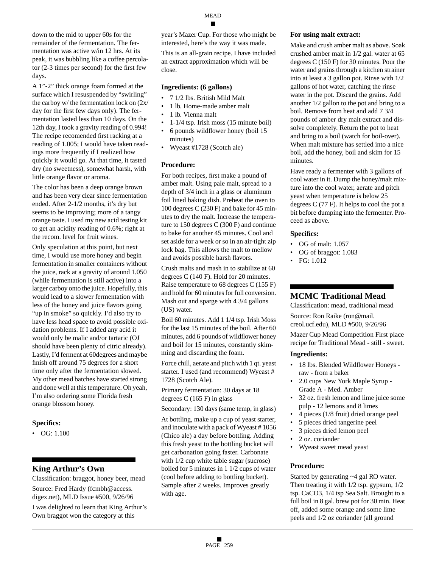down to the mid to upper 60s for the remainder of the fermentation. The fermentation was active w/in 12 hrs. At its peak, it was bubbling like a coffee percolator (2-3 times per second) for the first few days.

A 1"-2" thick orange foam formed at the surface which I resuspended by "swirling" the carboy w/ the fermentation lock on (2x/ day for the first few days only). The fermentation lasted less than 10 days. On the 12th day, I took a gravity reading of 0.994! The recipe recomended first racking at a reading of 1.005; I would have taken readings more frequently if I realized how quickly it would go. At that time, it tasted dry (no sweetness), somewhat harsh, with little orange flavor or aroma.

The color has been a deep orange brown and has been very clear since fermentation ended. After 2-1/2 months, it's dry but seems to be improving; more of a tangy orange taste. I used my new acid testing kit to get an acidity reading of 0.6%; right at the recom. level for fruit wines.

Only speculation at this point, but next time, I would use more honey and begin fermentation in smaller containers without the juice, rack at a gravity of around 1.050 (while fermentation is still active) into a larger carboy onto the juice. Hopefully, this would lead to a slower fermentation with less of the honey and juice flavors going "up in smoke" so quickly. I'd also try to have less head space to avoid possible oxidation problems. If I added any acid it would only be malic and/or tartaric (OJ should have been plenty of citric already). Lastly, I'd ferment at 60degrees and maybe finish off around 75 degrees for a short time only after the fermentation slowed. My other mead batches have started strong and done well at this temperature. Oh yeah, I'm also ordering some Florida fresh orange blossom honey.

#### **Specifics:**

• OG: 1.100

## **King Arthur's Own**

Classification: braggot, honey beer, mead Source: Fred Hardy (fcmbh@access.

digex.net), MLD Issue #500, 9/26/96 I was delighted to learn that King Arthur's

Own braggot won the category at this

This is an all-grain recipe. I have included an extract approximation which will be close.

#### **Ingredients: (6 gallons)**

- 7 1/2 lbs. British Mild Malt
- 1 lb. Home-made amber malt
- 1 lb. Vienna malt
- 1-1/4 tsp. Irish moss (15 minute boil)
- 6 pounds wildflower honey (boil 15 minutes)
- Wyeast #1728 (Scotch ale)

#### **Procedure:**

For both recipes, first make a pound of amber malt. Using pale malt, spread to a depth of 3/4 inch in a glass or aluminum foil lined baking dish. Preheat the oven to 100 degrees C (230 F) and bake for 45 minutes to dry the malt. Increase the temperature to 150 degrees C (300 F) and continue to bake for another 45 minutes. Cool and set aside for a week or so in an air-tight zip lock bag. This allows the malt to mellow and avoids possible harsh flavors.

Crush malts and mash in to stabilize at 60 degrees C (140 F). Hold for 20 minutes. Raise temperature to 68 degrees C (155 F) and hold for 60 minutes for full conversion. Mash out and sparge with 4 3/4 gallons (US) water.

Boil 60 minutes. Add 1 1/4 tsp. Irish Moss for the last 15 minutes of the boil. After 60 minutes, add 6 pounds of wildflower honey and boil for 15 minutes, constantly skimming and discarding the foam.

Force chill, aerate and pitch with 1 qt. yeast starter. I used (and recommend) Wyeast # 1728 (Scotch Ale).

Primary fermentation: 30 days at 18 degrees C (165 F) in glass

Secondary: 130 days (same temp, in glass)

At bottling, make up a cup of yeast starter, and inoculate with a pack of Wyeast # 1056 (Chico ale) a day before bottling. Adding this fresh yeast to the bottling bucket will get carbonation going faster. Carbonate with  $1/2$  cup white table sugar (sucrose) boiled for 5 minutes in 1 1/2 cups of water (cool before adding to bottling bucket). Sample after 2 weeks. Improves greatly with age.

#### **For using malt extract:**

Make and crush amber malt as above. Soak crushed amber malt in 1/2 gal. water at 65 degrees C (150 F) for 30 minutes. Pour the water and grains through a kitchen strainer into at least a 3 gallon pot. Rinse with 1/2 gallons of hot water, catching the rinse water in the pot. Discard the grains. Add another 1/2 gallon to the pot and bring to a boil. Remove from heat and add 7 3/4 pounds of amber dry malt extract and dissolve completely. Return the pot to heat and bring to a boil (watch for boil-over). When malt mixture has settled into a nice boil, add the honey, boil and skim for 15 minutes.

Have ready a fermenter with 3 gallons of cool water in it. Dump the honey/malt mixture into the cool water, aerate and pitch yeast when temperature is below 25 degrees C (77 F). It helps to cool the pot a bit before dumping into the fermenter. Proceed as above.

#### **Specifics:**

- OG of malt: 1.057
- OG of braggot: 1.083
- FG: 1.012

## **MCMC Traditional Mead**

Classification: mead, traditional mead

Source: Ron Raike (ron@mail. creol.ucf.edu), MLD #500, 9/26/96

Mazer Cup Mead Competition First place recipe for Traditional Mead - still - sweet.

#### **Ingredients:**

- 18 lbs. Blended Wildflower Honeys raw - from a baker
- 2.0 cups New York Maple Syrup Grade A - Med. Amber
- 32 oz. fresh lemon and lime juice some pulp - 12 lemons and 8 limes
- 4 pieces (1/8 fruit) dried orange peel
- 5 pieces dried tangerine peel
- 3 pieces dried lemon peel
- 2 oz. coriander
- Wyeast sweet mead yeast

#### **Procedure:**

Started by generating ~4 gal RO water. Then treating it with 1/2 tsp. gypsum, 1/2 tsp. CaCO3, 1/4 tsp Sea Salt. Brought to a full boil in 8 gal. brew pot for 30 min. Heat off, added some orange and some lime peels and 1/2 oz coriander (all ground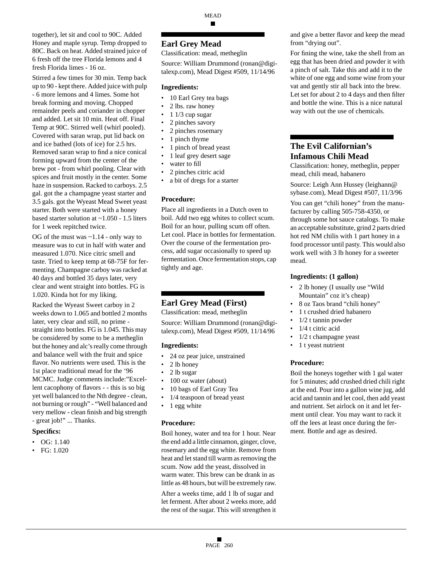together), let sit and cool to 90C. Added Honey and maple syrup. Temp dropped to 80C. Back on heat. Added strained juice of 6 fresh off the tree Florida lemons and 4 fresh Florida limes - 16 oz.

Stirred a few times for 30 min. Temp back up to 90 - kept there. Added juice with pulp - 6 more lemons and 4 limes. Some hot break forming and moving. Chopped remainder peels and coriander in chopper and added. Let sit 10 min. Heat off. Final Temp at 90C. Stirred well (whirl pooled). Covered with saran wrap, put lid back on and ice bathed (lots of ice) for 2.5 hrs. Removed saran wrap to find a nice conical forming upward from the center of the brew pot - from whirl pooling. Clear with spices and fruit mostly in the center. Some haze in suspension. Racked to carboys. 2.5 gal. got the a champagne yeast starter and 3.5 gals. got the Wyeast Mead Sweet yeast starter. Both were started with a honey based starter solution at ~1.050 - 1.5 liters for 1 week repitched twice.

OG of the must was  $\sim$  1.14 - only way to measure was to cut in half with water and measured 1.070. Nice citric smell and taste. Tried to keep temp at 68-75F for fermenting. Champagne carboy was racked at 40 days and bottled 35 days later, very clear and went straight into bottles. FG is 1.020. Kinda hot for my liking.

Racked the Wyeast Sweet carboy in 2 weeks down to 1.065 and bottled 2 months later, very clear and still, no prime straight into bottles. FG is 1.045. This may be considered by some to be a metheglin but the honey and alc's really come through and balance well with the fruit and spice flavor. No nutrients were used. This is the 1st place traditional mead for the '96 MCMC. Judge comments include:"Excellent cacophony of flavors - - this is so big yet well balanced to the Nth degree - clean, not burning or rough" - "Well balanced and very mellow - clean finish and big strength - great job!" ... Thanks.

#### **Specifics:**

- $\bullet$  OG: 1.140
- FG: 1.020

## **Earl Grey Mead**

Classification: mead, metheglin

Source: William Drummond (ronan@digitalexp.com), Mead Digest #509, 11/14/96

#### **Ingredients:**

- 10 Earl Grey tea bags
- 2 lbs. raw honey
- 1 1/3 cup sugar
- 2 pinches savory
- 2 pinches rosemary
- 1 pinch thyme
- 1 pinch of bread yeast
- 1 leaf grey desert sage
- water to fill
- 2 pinches citric acid
- a bit of dregs for a starter

#### **Procedure:**

Place all ingredients in a Dutch oven to boil. Add two egg whites to collect scum. Boil for an hour, pulling scum off often. Let cool. Place in bottles for fermentation. Over the course of the fermentation process, add sugar occasionally to speed up fermentation. Once fermentation stops, cap tightly and age.

#### **Earl Grey Mead (First)**

Classification: mead, metheglin

Source: William Drummond (ronan@digitalexp.com), Mead Digest #509, 11/14/96

#### **Ingredients:**

- 24 oz pear juice, unstrained
- 2 lb honey
- 2 lb sugar
- 100 oz water (about)
- 10 bags of Earl Gray Tea
- 1/4 teaspoon of bread yeast
- 1 egg white

#### **Procedure:**

Boil honey, water and tea for 1 hour. Near the end add a little cinnamon, ginger, clove, rosemary and the egg white. Remove from heat and let stand till warm as removing the scum. Now add the yeast, dissolved in warm water. This brew can be drank in as little as 48 hours, but will be extremely raw.

After a weeks time, add 1 lb of sugar and let ferment. After about 2 weeks more, add the rest of the sugar. This will strengthen it and give a better flavor and keep the mead from "drying out".

For fining the wine, take the shell from an egg that has been dried and powder it with a pinch of salt. Take this and add it to the white of one egg and some wine from your vat and gently stir all back into the brew. Let set for about 2 to 4 days and then filter and bottle the wine. This is a nice natural way with out the use of chemicals.

# **The Evil Californian's Infamous Chili Mead**

Classification: honey, metheglin, pepper mead, chili mead, habanero

Source: Leigh Ann Hussey (leighann@ sybase.com), Mead Digest #507, 11/3/96

You can get "chili honey" from the manufacturer by calling 505-758-4350, or through some hot sauce catalogs. To make an acceptable substitute, grind 2 parts dried hot red NM chilis with 1 part honey in a food processor until pasty. This would also work well with 3 lb honey for a sweeter mead.

#### **Ingredients: (1 gallon)**

- 2 lb honey (I usually use "Wild Mountain" coz it's cheap)
- 8 oz Taos brand "chili honey"
- 1 t crushed dried habanero
- $1/2$  t tannin powder
- 1/4 t citric acid
- $1/2$  t champagne yeast
- 1 t yeast nutrient

#### **Procedure:**

Boil the honeys together with 1 gal water for 5 minutes; add crushed dried chili right at the end. Pour into a gallon wine jug, add acid and tannin and let cool, then add yeast and nutrient. Set airlock on it and let ferment until clear. You may want to rack it off the lees at least once during the ferment. Bottle and age as desired.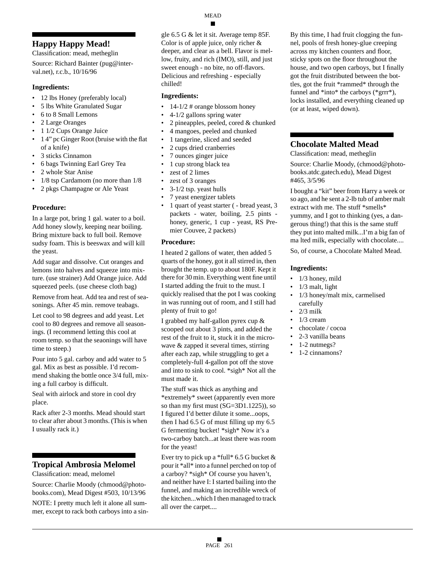# **Happy Happy Mead!**

Classification: mead, metheglin

Source: Richard Bainter (pug@interval.net), r.c.b., 10/16/96

#### **Ingredients:**

- 12 lbs Honey (preferably local)
- 5 lbs White Granulated Sugar
- 6 to 8 Small Lemons
- 2 Large Oranges
- 1 1/2 Cups Orange Juice
- 1 4" pc Ginger Root (bruise with the flat of a knife)
- 3 sticks Cinnamon
- 6 bags Twinning Earl Grey Tea
- 2 whole Star Anise
- 1/8 tsp Cardamom (no more than 1/8
- 2 pkgs Champagne or Ale Yeast

#### **Procedure:**

In a large pot, bring 1 gal. water to a boil. Add honey slowly, keeping near boiling. Bring mixture back to full boil. Remove sudsy foam. This is beeswax and will kill the yeast.

Add sugar and dissolve. Cut oranges and lemons into halves and squeeze into mixture. (use strainer) Add Orange juice. Add squeezed peels. (use cheese cloth bag)

Remove from heat. Add tea and rest of seasonings. After 45 min. remove teabags.

Let cool to 98 degrees and add yeast. Let cool to 80 degrees and remove all seasonings. (I recommend letting this cool at room temp. so that the seaonings will have time to steep.)

Pour into 5 gal. carboy and add water to 5 gal. Mix as best as possible. I'd recommend shaking the bottle once 3/4 full, mixing a full carboy is difficult.

Seal with airlock and store in cool dry place.

Rack after 2-3 months. Mead should start to clear after about 3 months. (This is when I usually rack it.)

## **Tropical Ambrosia Melomel**

Classification: mead, melomel

Source: Charlie Moody (chmood@photobooks.com), Mead Digest #503, 10/13/96

NOTE: I pretty much left it alone all summer, except to rack both carboys into a single 6.5 G & let it sit. Average temp 85F. Color is of apple juice, only richer & deeper, and clear as a bell. Flavor is mellow, fruity, and rich (IMO), still, and just sweet enough - no bite, no off-flavors. Delicious and refreshing - especially chilled!

#### **Ingredients:**

- 14-1/2 # orange blossom honey
- 4-1/2 gallons spring water
- 2 pineapples, peeled, cored & chunked
- 4 mangoes, peeled and chunked
- 1 tangerine, sliced and seeded
- 2 cups dried cranberries
- 7 ounces ginger juice
- 1 cup strong black tea
- zest of 2 limes
- zest of 3 oranges
- 3-1/2 tsp. yeast hulls
- 7 yeast energizer tablets
- 1 quart of yeast starter ( bread yeast, 3 packets - water, boiling, 2.5 pints honey, generic, 1 cup - yeast, RS Premier Couvee, 2 packets)

#### **Procedure:**

I heated 2 gallons of water, then added 5 quarts of the honey, got it all stirred in, then brought the temp. up to about 180F. Kept it there for 30 min. Everything went fine until I started adding the fruit to the must. I quickly realised that the pot I was cooking in was running out of room, and I still had plenty of fruit to go!

I grabbed my half-gallon pyrex cup & scooped out about 3 pints, and added the rest of the fruit to it, stuck it in the microwave & zapped it several times, stirring after each zap, while struggling to get a completely-full 4-gallon pot off the stove and into to sink to cool. \*sigh\* Not all the must made it.

The stuff was thick as anything and \*extremely\* sweet (apparently even more so than my first must (SG=3D1.1225)), so I figured I'd better dilute it some...oops, then I had 6.5 G of must filling up my 6.5 G fermenting bucket! \*sigh\* Now it's a two-carboy batch...at least there was room for the yeast!

Ever try to pick up a \*full\* 6.5 G bucket  $&$ pour it \*all\* into a funnel perched on top of a carboy? \*sigh\* Of course you haven't, and neither have I: I started bailing into the funnel, and making an incredible wreck of the kitchen...which I then managed to track all over the carpet....

By this time, I had fruit clogging the funnel, pools of fresh honey-glue creeping across my kitchen counters and floor, sticky spots on the floor throughout the house, and two open carboys, but I finally got the fruit distributed between the bottles, got the fruit \*rammed\* through the funnel and \*into\* the carboys (\*grrr\*), locks installed, and everything cleaned up (or at least, wiped down).

# **Chocolate Malted Mead**

Classification: mead, metheglin

Source: Charlie Moody, (chmood@photobooks.atdc.gatech.edu), Mead Digest #465, 3/5/96

I bought a "kit" beer from Harry a week or so ago, and he sent a 2-lb tub of amber malt extract with me. The stuff \*smells\* yummy, and I got to thinking (yes, a dangerous thing!) that this is the same stuff they put into malted milk...I'm a big fan of ma lted milk, especially with chocolate....

So, of course, a Chocolate Malted Mead.

## **Ingredients:**

- 1/3 honey, mild
- 1/3 malt, light
- 1/3 honey/malt mix, carmelised carefully
- 2/3 milk
- 1/3 cream
- chocolate / cocoa
- 2-3 vanilla beans
- 1-2 nutmegs?
- 1-2 cinnamons?